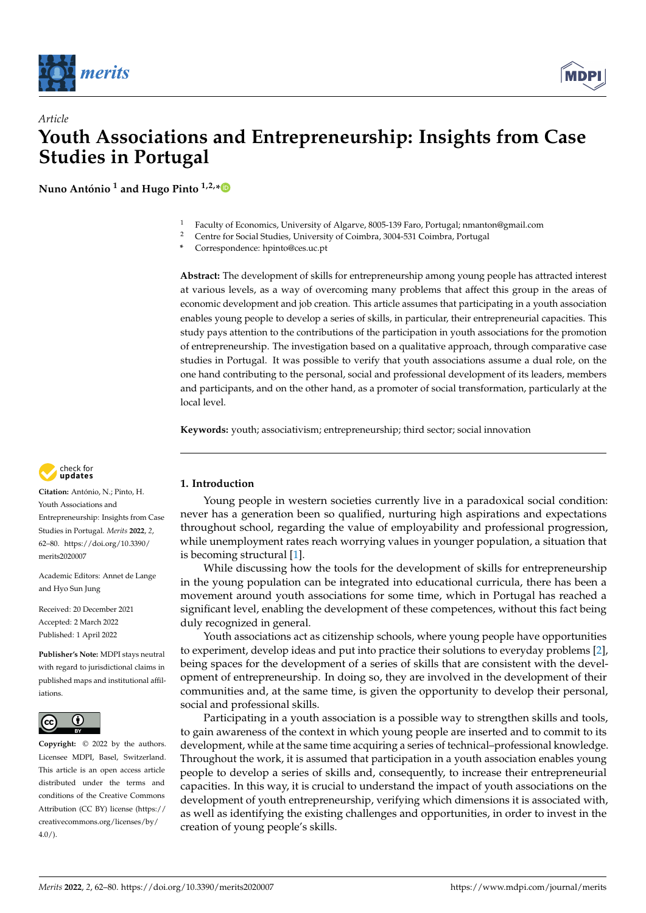

*Article*



# **Youth Associations and Entrepreneurship: Insights from Case Studies in Portugal**

**Nuno António <sup>1</sup> and Hugo Pinto 1,2,[\\*](https://orcid.org/0000-0002-8497-4798)**

- <sup>1</sup> Faculty of Economics, University of Algarve, 8005-139 Faro, Portugal; nmanton@gmail.com
- <sup>2</sup> Centre for Social Studies, University of Coimbra, 3004-531 Coimbra, Portugal
- **\*** Correspondence: hpinto@ces.uc.pt

**Abstract:** The development of skills for entrepreneurship among young people has attracted interest at various levels, as a way of overcoming many problems that affect this group in the areas of economic development and job creation. This article assumes that participating in a youth association enables young people to develop a series of skills, in particular, their entrepreneurial capacities. This study pays attention to the contributions of the participation in youth associations for the promotion of entrepreneurship. The investigation based on a qualitative approach, through comparative case studies in Portugal. It was possible to verify that youth associations assume a dual role, on the one hand contributing to the personal, social and professional development of its leaders, members and participants, and on the other hand, as a promoter of social transformation, particularly at the local level.

**Keywords:** youth; associativism; entrepreneurship; third sector; social innovation



**Citation:** António, N.; Pinto, H. Youth Associations and Entrepreneurship: Insights from Case Studies in Portugal. *Merits* **2022**, *2*, 62–80. [https://doi.org/10.3390/](https://doi.org/10.3390/merits2020007) [merits2020007](https://doi.org/10.3390/merits2020007)

Academic Editors: Annet de Lange and Hyo Sun Jung

Received: 20 December 2021 Accepted: 2 March 2022 Published: 1 April 2022

**Publisher's Note:** MDPI stays neutral with regard to jurisdictional claims in published maps and institutional affiliations.



**Copyright:** © 2022 by the authors. Licensee MDPI, Basel, Switzerland. This article is an open access article distributed under the terms and conditions of the Creative Commons Attribution (CC BY) license [\(https://](https://creativecommons.org/licenses/by/4.0/) [creativecommons.org/licenses/by/](https://creativecommons.org/licenses/by/4.0/)  $4.0/$ ).

# **1. Introduction**

Young people in western societies currently live in a paradoxical social condition: never has a generation been so qualified, nurturing high aspirations and expectations throughout school, regarding the value of employability and professional progression, while unemployment rates reach worrying values in younger population, a situation that is becoming structural [\[1\]](#page-16-0).

While discussing how the tools for the development of skills for entrepreneurship in the young population can be integrated into educational curricula, there has been a movement around youth associations for some time, which in Portugal has reached a significant level, enabling the development of these competences, without this fact being duly recognized in general.

Youth associations act as citizenship schools, where young people have opportunities to experiment, develop ideas and put into practice their solutions to everyday problems [\[2\]](#page-16-1), being spaces for the development of a series of skills that are consistent with the development of entrepreneurship. In doing so, they are involved in the development of their communities and, at the same time, is given the opportunity to develop their personal, social and professional skills.

Participating in a youth association is a possible way to strengthen skills and tools, to gain awareness of the context in which young people are inserted and to commit to its development, while at the same time acquiring a series of technical–professional knowledge. Throughout the work, it is assumed that participation in a youth association enables young people to develop a series of skills and, consequently, to increase their entrepreneurial capacities. In this way, it is crucial to understand the impact of youth associations on the development of youth entrepreneurship, verifying which dimensions it is associated with, as well as identifying the existing challenges and opportunities, in order to invest in the creation of young people's skills.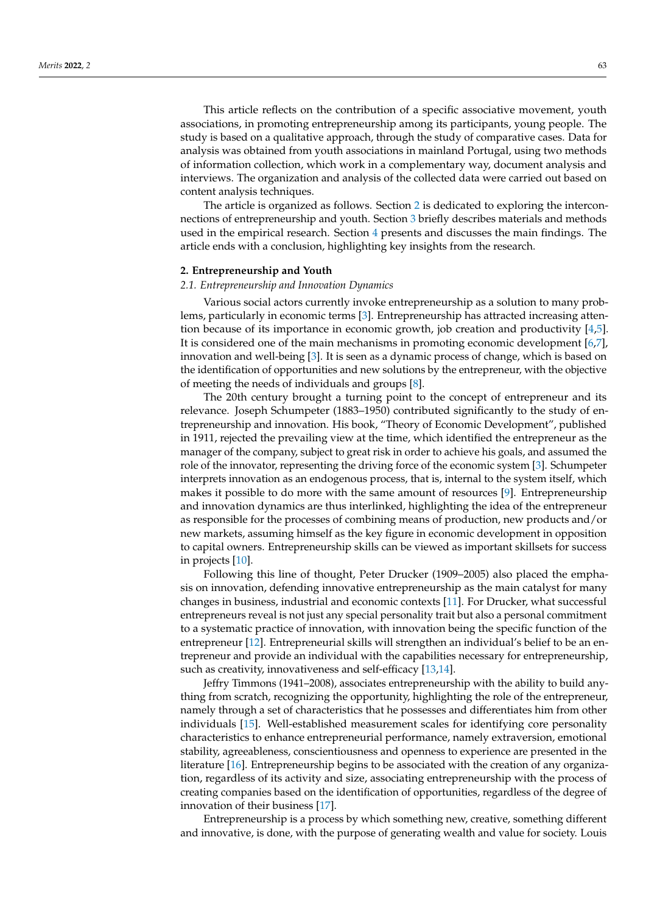This article reflects on the contribution of a specific associative movement, youth associations, in promoting entrepreneurship among its participants, young people. The study is based on a qualitative approach, through the study of comparative cases. Data for analysis was obtained from youth associations in mainland Portugal, using two methods of information collection, which work in a complementary way, document analysis and interviews. The organization and analysis of the collected data were carried out based on content analysis techniques.

The article is organized as follows. Section [2](#page-1-0) is dedicated to exploring the interconnections of entrepreneurship and youth. Section [3](#page-4-0) briefly describes materials and methods used in the empirical research. Section [4](#page-7-0) presents and discusses the main findings. The article ends with a conclusion, highlighting key insights from the research.

#### <span id="page-1-0"></span>**2. Entrepreneurship and Youth**

#### *2.1. Entrepreneurship and Innovation Dynamics*

Various social actors currently invoke entrepreneurship as a solution to many problems, particularly in economic terms [\[3\]](#page-16-2). Entrepreneurship has attracted increasing attention because of its importance in economic growth, job creation and productivity [\[4,](#page-16-3)[5\]](#page-16-4). It is considered one of the main mechanisms in promoting economic development [\[6,](#page-16-5)[7\]](#page-16-6), innovation and well-being [\[3\]](#page-16-2). It is seen as a dynamic process of change, which is based on the identification of opportunities and new solutions by the entrepreneur, with the objective of meeting the needs of individuals and groups [\[8\]](#page-16-7).

The 20th century brought a turning point to the concept of entrepreneur and its relevance. Joseph Schumpeter (1883–1950) contributed significantly to the study of entrepreneurship and innovation. His book, "Theory of Economic Development", published in 1911, rejected the prevailing view at the time, which identified the entrepreneur as the manager of the company, subject to great risk in order to achieve his goals, and assumed the role of the innovator, representing the driving force of the economic system [\[3\]](#page-16-2). Schumpeter interprets innovation as an endogenous process, that is, internal to the system itself, which makes it possible to do more with the same amount of resources [\[9\]](#page-17-0). Entrepreneurship and innovation dynamics are thus interlinked, highlighting the idea of the entrepreneur as responsible for the processes of combining means of production, new products and/or new markets, assuming himself as the key figure in economic development in opposition to capital owners. Entrepreneurship skills can be viewed as important skillsets for success in projects [\[10\]](#page-17-1).

Following this line of thought, Peter Drucker (1909–2005) also placed the emphasis on innovation, defending innovative entrepreneurship as the main catalyst for many changes in business, industrial and economic contexts [\[11\]](#page-17-2). For Drucker, what successful entrepreneurs reveal is not just any special personality trait but also a personal commitment to a systematic practice of innovation, with innovation being the specific function of the entrepreneur [\[12\]](#page-17-3). Entrepreneurial skills will strengthen an individual's belief to be an entrepreneur and provide an individual with the capabilities necessary for entrepreneurship, such as creativity, innovativeness and self-efficacy [\[13](#page-17-4)[,14\]](#page-17-5).

Jeffry Timmons (1941–2008), associates entrepreneurship with the ability to build anything from scratch, recognizing the opportunity, highlighting the role of the entrepreneur, namely through a set of characteristics that he possesses and differentiates him from other individuals [\[15\]](#page-17-6). Well-established measurement scales for identifying core personality characteristics to enhance entrepreneurial performance, namely extraversion, emotional stability, agreeableness, conscientiousness and openness to experience are presented in the literature [\[16\]](#page-17-7). Entrepreneurship begins to be associated with the creation of any organization, regardless of its activity and size, associating entrepreneurship with the process of creating companies based on the identification of opportunities, regardless of the degree of innovation of their business [\[17\]](#page-17-8).

Entrepreneurship is a process by which something new, creative, something different and innovative, is done, with the purpose of generating wealth and value for society. Louis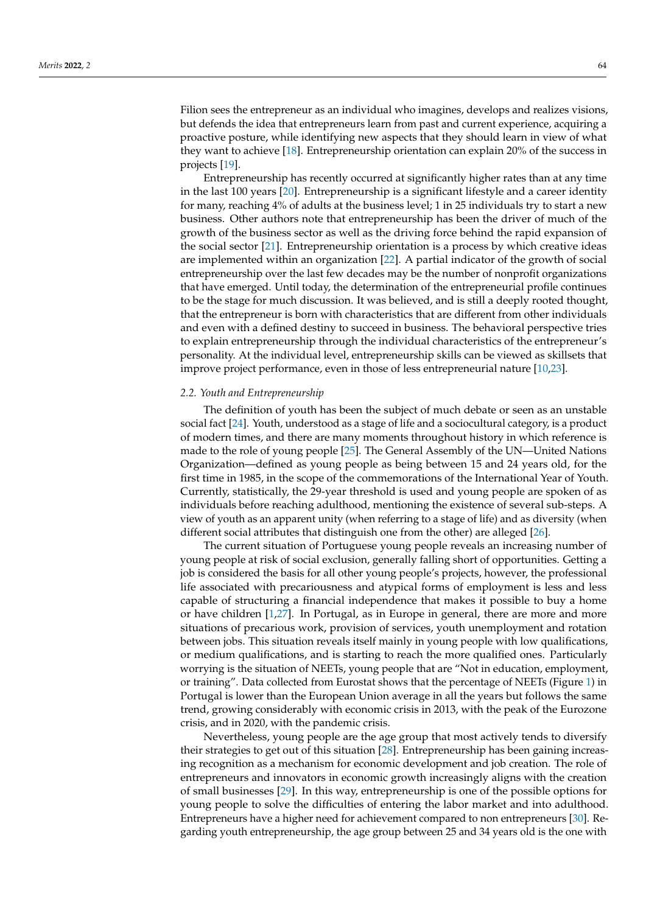Filion sees the entrepreneur as an individual who imagines, develops and realizes visions, but defends the idea that entrepreneurs learn from past and current experience, acquiring a proactive posture, while identifying new aspects that they should learn in view of what they want to achieve [\[18\]](#page-17-9). Entrepreneurship orientation can explain 20% of the success in projects [\[19\]](#page-17-10).

Entrepreneurship has recently occurred at significantly higher rates than at any time in the last 100 years [\[20\]](#page-17-11). Entrepreneurship is a significant lifestyle and a career identity for many, reaching 4% of adults at the business level; 1 in 25 individuals try to start a new business. Other authors note that entrepreneurship has been the driver of much of the growth of the business sector as well as the driving force behind the rapid expansion of the social sector [\[21\]](#page-17-12). Entrepreneurship orientation is a process by which creative ideas are implemented within an organization [\[22\]](#page-17-13). A partial indicator of the growth of social entrepreneurship over the last few decades may be the number of nonprofit organizations that have emerged. Until today, the determination of the entrepreneurial profile continues to be the stage for much discussion. It was believed, and is still a deeply rooted thought, that the entrepreneur is born with characteristics that are different from other individuals and even with a defined destiny to succeed in business. The behavioral perspective tries to explain entrepreneurship through the individual characteristics of the entrepreneur's personality. At the individual level, entrepreneurship skills can be viewed as skillsets that improve project performance, even in those of less entrepreneurial nature [\[10,](#page-17-1)[23\]](#page-17-14).

#### *2.2. Youth and Entrepreneurship*

The definition of youth has been the subject of much debate or seen as an unstable social fact [\[24\]](#page-17-15). Youth, understood as a stage of life and a sociocultural category, is a product of modern times, and there are many moments throughout history in which reference is made to the role of young people [\[25\]](#page-17-16). The General Assembly of the UN—United Nations Organization—defined as young people as being between 15 and 24 years old, for the first time in 1985, in the scope of the commemorations of the International Year of Youth. Currently, statistically, the 29-year threshold is used and young people are spoken of as individuals before reaching adulthood, mentioning the existence of several sub-steps. A view of youth as an apparent unity (when referring to a stage of life) and as diversity (when different social attributes that distinguish one from the other) are alleged [\[26\]](#page-17-17).

The current situation of Portuguese young people reveals an increasing number of young people at risk of social exclusion, generally falling short of opportunities. Getting a job is considered the basis for all other young people's projects, however, the professional life associated with precariousness and atypical forms of employment is less and less capable of structuring a financial independence that makes it possible to buy a home or have children [\[1](#page-16-0)[,27\]](#page-17-18). In Portugal, as in Europe in general, there are more and more situations of precarious work, provision of services, youth unemployment and rotation between jobs. This situation reveals itself mainly in young people with low qualifications, or medium qualifications, and is starting to reach the more qualified ones. Particularly worrying is the situation of NEETs, young people that are "Not in education, employment, or training". Data collected from Eurostat shows that the percentage of NEETs (Figure [1\)](#page-3-0) in Portugal is lower than the European Union average in all the years but follows the same trend, growing considerably with economic crisis in 2013, with the peak of the Eurozone crisis, and in 2020, with the pandemic crisis.

Nevertheless, young people are the age group that most actively tends to diversify their strategies to get out of this situation [\[28\]](#page-17-19). Entrepreneurship has been gaining increasing recognition as a mechanism for economic development and job creation. The role of entrepreneurs and innovators in economic growth increasingly aligns with the creation of small businesses [\[29\]](#page-17-20). In this way, entrepreneurship is one of the possible options for young people to solve the difficulties of entering the labor market and into adulthood. Entrepreneurs have a higher need for achievement compared to non entrepreneurs [\[30\]](#page-17-21). Regarding youth entrepreneurship, the age group between 25 and 34 years old is the one with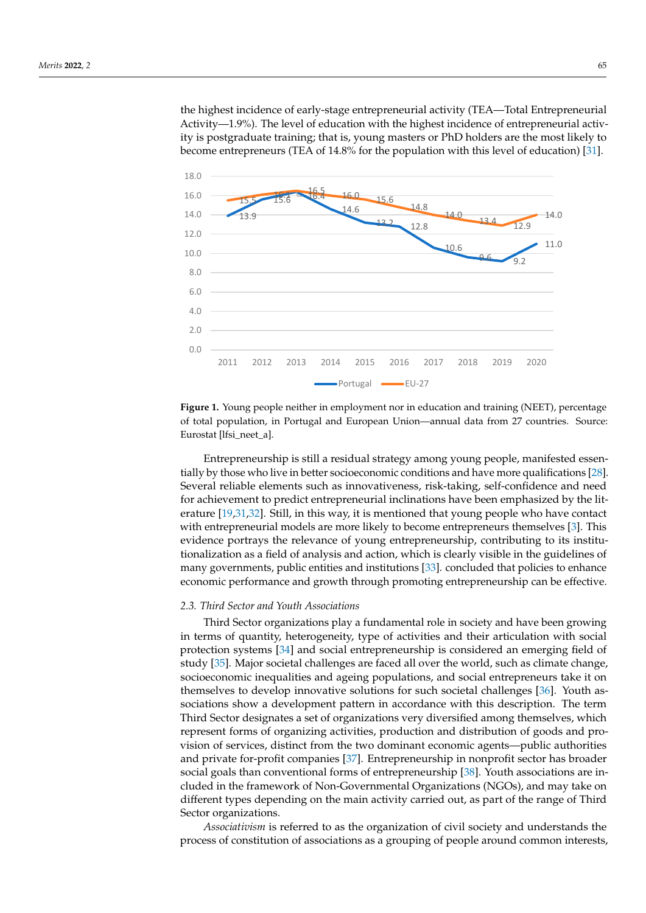the highest incidence of early-stage entrepreneurial activity (TEA—Total Entrepreneurial Activity—1.9%). The level of education with the highest incidence of entrepreneurial activity is postgraduate training; that is, young masters or PhD holders are the most likely to become entrepreneurs (TEA of 14.8% for the population with this level of education) [\[31\]](#page-17-22).

<span id="page-3-0"></span>

**Figure 1.** Young people neither in employment nor in education and training (NEET), percentage of total population, in Portugal and European Union—annual data from 27 countries. Source: Eurostat [lfsi\_neet\_a]. **Figure 1.** Young people neither in employment nor in education and training (NEET), percentage

Entrepreneurship is still a residual strategy among young people, manifested essen-<br>Entrepreneurship is still a residual strategy among young people, manifested essentheir strategies to get out of the elements such as innovativeness, risk-taking, self-confidence and need for achievement to predict entrepreneurial inclinations have been emphasized by the litentrepreneurs and increasing members in economic growth increasing with the creation of  $[19,31,32]$  $[19,31,32]$  $[19,31,32]$ . Still, in this way, it is mentioned that young people who have contact enture [19]. In this way, it is increased that young people who have contacted with entrepreneurial models are more likely to become entrepreneurs themselves [\[3\]](#page-16-2). This which enterpreneurship to solve the difference of enterpreneurship, contributing to its institu-<br>evidence portrays the relevance of young entrepreneurship, contributing to its institutionalization as a field of analysis and action, which is clearly visible in the guidelines of many governments, public entities and institutions [\[33\]](#page-17-24). concluded that policies to enhance when the the the the highest incidence of early the highest incomplete entrepreneurship can be effective economic performance and growth through promoting entrepreneurship can be effective. tially by those who live in better socioeconomic conditions and have more qualifications [\[28\]](#page-17-19).

# 2.3. Third Sector and Youth Associations **masters are the intervals are the theory**

Third Sector organizations play a fundamental role in society and have been growing in terms of quantity, heterogeneity, type of activities and their articulation with social protection systems [\[34\]](#page-17-25) and social entrepreneurship is considered an emerging field of study [\[35\]](#page-17-26). Major societal challenges are faced all over the world, such as climate change, socioeconomic inequalities and ageing populations, and social entrepreneurs take it on themselves to develop innovative solutions for such societal challenges [\[36\]](#page-17-27). Youth associations show a development pattern in accordance with this description. The term Third Sector designates a set of organizations very diversified among themselves, which represent forms of organizing activities, production and distribution of goods and provision of services, distinct from the two dominant economic agents—public authorities and private for-profit companies [\[37\]](#page-17-28). Entrepreneurship in nonprofit sector has broader social goals than conventional forms of entrepreneurship [\[38\]](#page-17-29). Youth associations are included in the framework of Non-Governmental Organizations (NGOs), and may take on *2.3. Third Sector and Youth Associations* Sector organizations. different types depending on the main activity carried out, as part of the range of Third

Associativism is referred to as the organization of civil society and understands the process of constitution of associations as a grouping of people around common interests,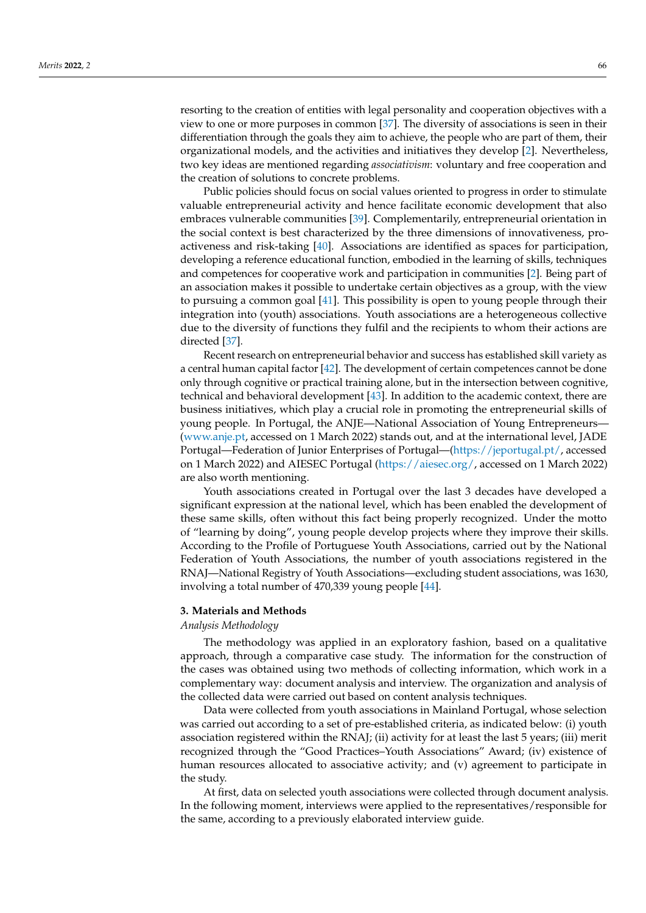resorting to the creation of entities with legal personality and cooperation objectives with a view to one or more purposes in common [\[37\]](#page-17-28). The diversity of associations is seen in their differentiation through the goals they aim to achieve, the people who are part of them, their organizational models, and the activities and initiatives they develop [\[2\]](#page-16-1). Nevertheless, two key ideas are mentioned regarding *associativism*: voluntary and free cooperation and the creation of solutions to concrete problems.

Public policies should focus on social values oriented to progress in order to stimulate valuable entrepreneurial activity and hence facilitate economic development that also embraces vulnerable communities [\[39\]](#page-17-30). Complementarily, entrepreneurial orientation in the social context is best characterized by the three dimensions of innovativeness, proactiveness and risk-taking [\[40\]](#page-17-31). Associations are identified as spaces for participation, developing a reference educational function, embodied in the learning of skills, techniques and competences for cooperative work and participation in communities [\[2\]](#page-16-1). Being part of an association makes it possible to undertake certain objectives as a group, with the view to pursuing a common goal [\[41\]](#page-17-32). This possibility is open to young people through their integration into (youth) associations. Youth associations are a heterogeneous collective due to the diversity of functions they fulfil and the recipients to whom their actions are directed [\[37\]](#page-17-28).

Recent research on entrepreneurial behavior and success has established skill variety as a central human capital factor [\[42\]](#page-17-33). The development of certain competences cannot be done only through cognitive or practical training alone, but in the intersection between cognitive, technical and behavioral development [\[43\]](#page-17-34). In addition to the academic context, there are business initiatives, which play a crucial role in promoting the entrepreneurial skills of young people. In Portugal, the ANJE—National Association of Young Entrepreneurs— [\(www.anje.pt,](www.anje.pt) accessed on 1 March 2022) stands out, and at the international level, JADE Portugal—Federation of Junior Enterprises of Portugal—[\(https://jeportugal.pt/,](https://jeportugal.pt/) accessed on 1 March 2022) and AIESEC Portugal [\(https://aiesec.org/,](https://aiesec.org/) accessed on 1 March 2022) are also worth mentioning.

Youth associations created in Portugal over the last 3 decades have developed a significant expression at the national level, which has been enabled the development of these same skills, often without this fact being properly recognized. Under the motto of "learning by doing", young people develop projects where they improve their skills. According to the Profile of Portuguese Youth Associations, carried out by the National Federation of Youth Associations, the number of youth associations registered in the RNAJ—National Registry of Youth Associations—excluding student associations, was 1630, involving a total number of 470,339 young people [\[44\]](#page-17-35).

# <span id="page-4-0"></span>**3. Materials and Methods**

#### *Analysis Methodology*

The methodology was applied in an exploratory fashion, based on a qualitative approach, through a comparative case study. The information for the construction of the cases was obtained using two methods of collecting information, which work in a complementary way: document analysis and interview. The organization and analysis of the collected data were carried out based on content analysis techniques.

Data were collected from youth associations in Mainland Portugal, whose selection was carried out according to a set of pre-established criteria, as indicated below: (i) youth association registered within the RNAJ; (ii) activity for at least the last 5 years; (iii) merit recognized through the "Good Practices–Youth Associations" Award; (iv) existence of human resources allocated to associative activity; and (v) agreement to participate in the study.

At first, data on selected youth associations were collected through document analysis. In the following moment, interviews were applied to the representatives/responsible for the same, according to a previously elaborated interview guide.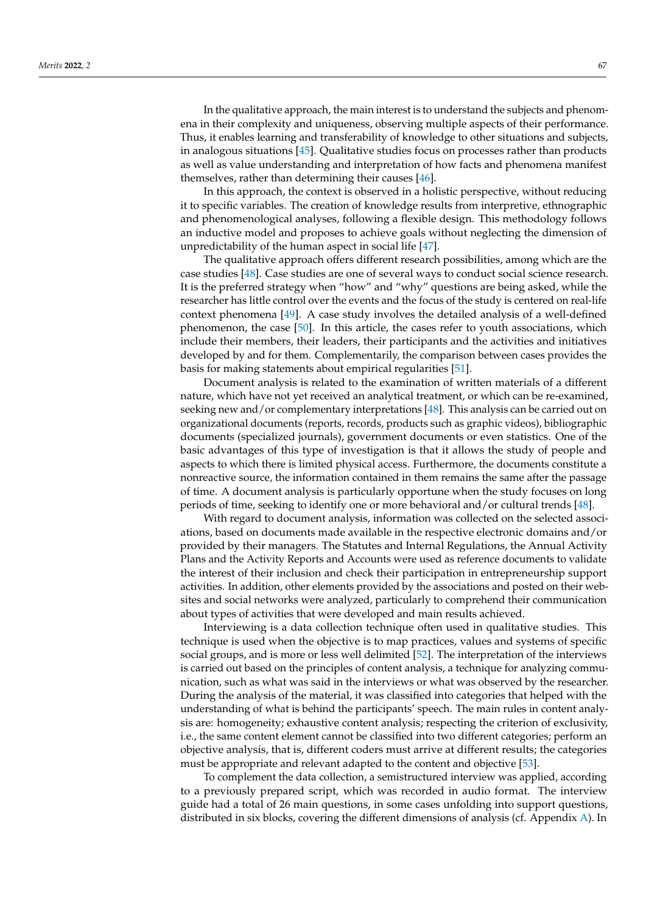In the qualitative approach, the main interest is to understand the subjects and phenomena in their complexity and uniqueness, observing multiple aspects of their performance. Thus, it enables learning and transferability of knowledge to other situations and subjects, in analogous situations [\[45\]](#page-18-0). Qualitative studies focus on processes rather than products as well as value understanding and interpretation of how facts and phenomena manifest themselves, rather than determining their causes [\[46\]](#page-18-1).

In this approach, the context is observed in a holistic perspective, without reducing it to specific variables. The creation of knowledge results from interpretive, ethnographic and phenomenological analyses, following a flexible design. This methodology follows an inductive model and proposes to achieve goals without neglecting the dimension of unpredictability of the human aspect in social life [\[47\]](#page-18-2).

The qualitative approach offers different research possibilities, among which are the case studies [\[48\]](#page-18-3). Case studies are one of several ways to conduct social science research. It is the preferred strategy when "how" and "why" questions are being asked, while the researcher has little control over the events and the focus of the study is centered on real-life context phenomena [\[49\]](#page-18-4). A case study involves the detailed analysis of a well-defined phenomenon, the case [\[50\]](#page-18-5). In this article, the cases refer to youth associations, which include their members, their leaders, their participants and the activities and initiatives developed by and for them. Complementarily, the comparison between cases provides the basis for making statements about empirical regularities [\[51\]](#page-18-6).

Document analysis is related to the examination of written materials of a different nature, which have not yet received an analytical treatment, or which can be re-examined, seeking new and/or complementary interpretations [\[48\]](#page-18-3). This analysis can be carried out on organizational documents (reports, records, products such as graphic videos), bibliographic documents (specialized journals), government documents or even statistics. One of the basic advantages of this type of investigation is that it allows the study of people and aspects to which there is limited physical access. Furthermore, the documents constitute a nonreactive source, the information contained in them remains the same after the passage of time. A document analysis is particularly opportune when the study focuses on long periods of time, seeking to identify one or more behavioral and/or cultural trends [\[48\]](#page-18-3).

With regard to document analysis, information was collected on the selected associations, based on documents made available in the respective electronic domains and/or provided by their managers. The Statutes and Internal Regulations, the Annual Activity Plans and the Activity Reports and Accounts were used as reference documents to validate the interest of their inclusion and check their participation in entrepreneurship support activities. In addition, other elements provided by the associations and posted on their websites and social networks were analyzed, particularly to comprehend their communication about types of activities that were developed and main results achieved.

Interviewing is a data collection technique often used in qualitative studies. This technique is used when the objective is to map practices, values and systems of specific social groups, and is more or less well delimited [\[52\]](#page-18-7). The interpretation of the interviews is carried out based on the principles of content analysis, a technique for analyzing communication, such as what was said in the interviews or what was observed by the researcher. During the analysis of the material, it was classified into categories that helped with the understanding of what is behind the participants' speech. The main rules in content analysis are: homogeneity; exhaustive content analysis; respecting the criterion of exclusivity, i.e., the same content element cannot be classified into two different categories; perform an objective analysis, that is, different coders must arrive at different results; the categories must be appropriate and relevant adapted to the content and objective [\[53\]](#page-18-8).

To complement the data collection, a semistructured interview was applied, according to a previously prepared script, which was recorded in audio format. The interview guide had a total of 26 main questions, in some cases unfolding into support questions, distributed in six blocks, covering the different dimensions of analysis (cf. Appendix [A\)](#page-15-0). In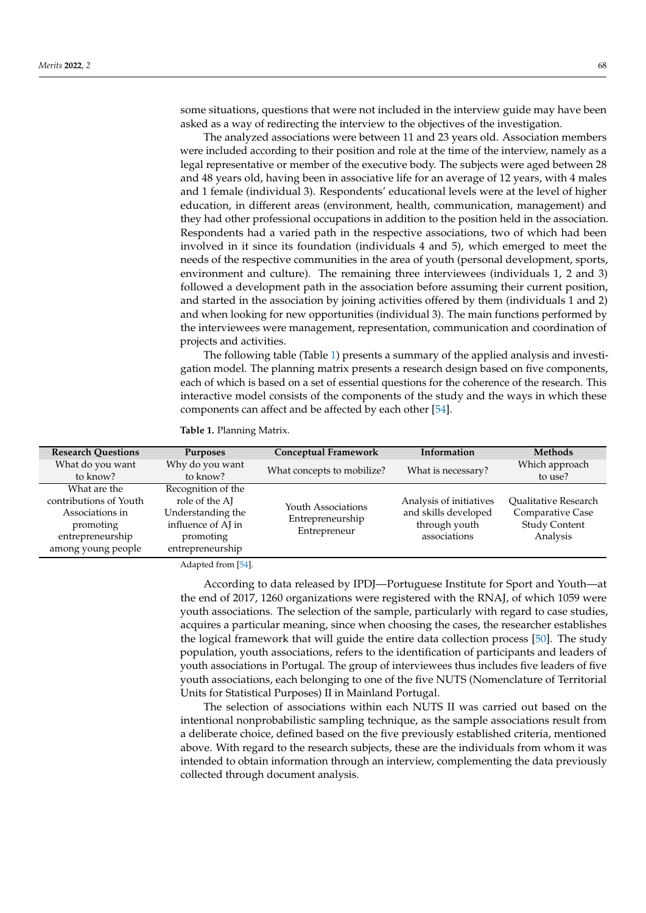some situations, questions that were not included in the interview guide may have been asked as a way of redirecting the interview to the objectives of the investigation.

The analyzed associations were between 11 and 23 years old. Association members were included according to their position and role at the time of the interview, namely as a legal representative or member of the executive body. The subjects were aged between 28 and 48 years old, having been in associative life for an average of 12 years, with 4 males and 1 female (individual 3). Respondents' educational levels were at the level of higher education, in different areas (environment, health, communication, management) and they had other professional occupations in addition to the position held in the association. Respondents had a varied path in the respective associations, two of which had been involved in it since its foundation (individuals 4 and 5), which emerged to meet the needs of the respective communities in the area of youth (personal development, sports, environment and culture). The remaining three interviewees (individuals 1, 2 and 3) followed a development path in the association before assuming their current position, and started in the association by joining activities offered by them (individuals 1 and 2) and when looking for new opportunities (individual 3). The main functions performed by the interviewees were management, representation, communication and coordination of projects and activities.

The following table (Table [1\)](#page-6-0) presents a summary of the applied analysis and investigation model. The planning matrix presents a research design based on five components, each of which is based on a set of essential questions for the coherence of the research. This interactive model consists of the components of the study and the ways in which these components can affect and be affected by each other [\[54\]](#page-18-9).

<span id="page-6-0"></span>**Table 1.** Planning Matrix.

| <b>Research Questions</b> | <b>Purposes</b>    | <b>Conceptual Framework</b> | Information             | <b>Methods</b>              |
|---------------------------|--------------------|-----------------------------|-------------------------|-----------------------------|
| What do you want          | Why do you want    | What concepts to mobilize?  | What is necessary?      | Which approach              |
| to know?                  | to know?           |                             |                         | to use?                     |
| What are the              | Recognition of the |                             |                         |                             |
| contributions of Youth    | role of the AI     | Youth Associations          | Analysis of initiatives | <b>Oualitative Research</b> |
| Associations in           | Understanding the  | Entrepreneurship            | and skills developed    | Comparative Case            |
| promoting                 | influence of AJ in |                             | through youth           | <b>Study Content</b>        |
| entrepreneurship          | promoting          |                             | associations            | Analysis                    |
| among young people        | entrepreneurship   |                             |                         |                             |
|                           |                    | Entrepreneur                |                         |                             |

Adapted from [\[54\]](#page-18-9).

According to data released by IPDJ—Portuguese Institute for Sport and Youth—at the end of 2017, 1260 organizations were registered with the RNAJ, of which 1059 were youth associations. The selection of the sample, particularly with regard to case studies, acquires a particular meaning, since when choosing the cases, the researcher establishes the logical framework that will guide the entire data collection process [\[50\]](#page-18-5). The study population, youth associations, refers to the identification of participants and leaders of youth associations in Portugal. The group of interviewees thus includes five leaders of five youth associations, each belonging to one of the five NUTS (Nomenclature of Territorial Units for Statistical Purposes) II in Mainland Portugal.

The selection of associations within each NUTS II was carried out based on the intentional nonprobabilistic sampling technique, as the sample associations result from a deliberate choice, defined based on the five previously established criteria, mentioned above. With regard to the research subjects, these are the individuals from whom it was intended to obtain information through an interview, complementing the data previously collected through document analysis.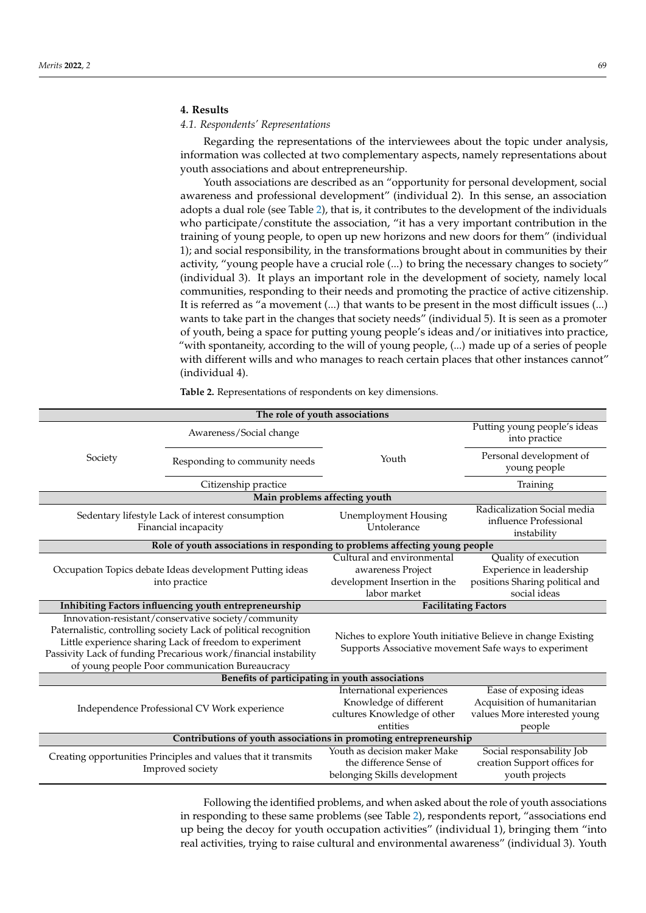# <span id="page-7-0"></span>**4. Results**

## *4.1. Respondents' Representations*

Regarding the representations of the interviewees about the topic under analysis, information was collected at two complementary aspects, namely representations about youth associations and about entrepreneurship.

Youth associations are described as an "opportunity for personal development, social awareness and professional development" (individual 2). In this sense, an association adopts a dual role (see Table [2\)](#page-7-1), that is, it contributes to the development of the individuals who participate/constitute the association, "it has a very important contribution in the training of young people, to open up new horizons and new doors for them" (individual 1); and social responsibility, in the transformations brought about in communities by their activity, "young people have a crucial role (...) to bring the necessary changes to society" (individual 3). It plays an important role in the development of society, namely local communities, responding to their needs and promoting the practice of active citizenship. It is referred as "a movement (...) that wants to be present in the most difficult issues (...) wants to take part in the changes that society needs" (individual 5). It is seen as a promoter of youth, being a space for putting young people's ideas and/or initiatives into practice, "with spontaneity, according to the will of young people, (...) made up of a series of people with different wills and who manages to reach certain places that other instances cannot" (individual 4).

| The role of youth associations                                                                                                                                                                                                                                                                          |                                                          |                                                                                                                        |                                                                                                 |  |
|---------------------------------------------------------------------------------------------------------------------------------------------------------------------------------------------------------------------------------------------------------------------------------------------------------|----------------------------------------------------------|------------------------------------------------------------------------------------------------------------------------|-------------------------------------------------------------------------------------------------|--|
|                                                                                                                                                                                                                                                                                                         | Awareness/Social change                                  |                                                                                                                        | Putting young people's ideas<br>into practice                                                   |  |
| Society                                                                                                                                                                                                                                                                                                 | Responding to community needs                            | Youth                                                                                                                  | Personal development of<br>young people                                                         |  |
|                                                                                                                                                                                                                                                                                                         | Citizenship practice                                     |                                                                                                                        | Training                                                                                        |  |
|                                                                                                                                                                                                                                                                                                         |                                                          | Main problems affecting youth                                                                                          |                                                                                                 |  |
| Sedentary lifestyle Lack of interest consumption<br>Financial incapacity                                                                                                                                                                                                                                |                                                          | <b>Unemployment Housing</b><br>Untolerance                                                                             | Radicalization Social media<br>influence Professional<br>instability                            |  |
| Role of youth associations in responding to problems affecting young people                                                                                                                                                                                                                             |                                                          |                                                                                                                        |                                                                                                 |  |
|                                                                                                                                                                                                                                                                                                         |                                                          | Cultural and environmental                                                                                             | Quality of execution                                                                            |  |
|                                                                                                                                                                                                                                                                                                         | Occupation Topics debate Ideas development Putting ideas | awareness Project                                                                                                      | Experience in leadership                                                                        |  |
|                                                                                                                                                                                                                                                                                                         | into practice                                            | development Insertion in the                                                                                           | positions Sharing political and                                                                 |  |
|                                                                                                                                                                                                                                                                                                         |                                                          | labor market                                                                                                           | social ideas                                                                                    |  |
|                                                                                                                                                                                                                                                                                                         | Inhibiting Factors influencing youth entrepreneurship    | <b>Facilitating Factors</b>                                                                                            |                                                                                                 |  |
| Innovation-resistant/conservative society/community<br>Paternalistic, controlling society Lack of political recognition<br>Little experience sharing Lack of freedom to experiment<br>Passivity Lack of funding Precarious work/financial instability<br>of young people Poor communication Bureaucracy |                                                          | Niches to explore Youth initiative Believe in change Existing<br>Supports Associative movement Safe ways to experiment |                                                                                                 |  |
| Benefits of participating in youth associations                                                                                                                                                                                                                                                         |                                                          |                                                                                                                        |                                                                                                 |  |
| Independence Professional CV Work experience                                                                                                                                                                                                                                                            |                                                          | International experiences<br>Knowledge of different<br>cultures Knowledge of other<br>entities                         | Ease of exposing ideas<br>Acquisition of humanitarian<br>values More interested young<br>people |  |
| Contributions of youth associations in promoting entrepreneurship                                                                                                                                                                                                                                       |                                                          |                                                                                                                        |                                                                                                 |  |
| Creating opportunities Principles and values that it transmits<br>Improved society                                                                                                                                                                                                                      |                                                          | Youth as decision maker Make<br>the difference Sense of<br>belonging Skills development                                | Social responsability Job<br>creation Support offices for<br>youth projects                     |  |

<span id="page-7-1"></span>**Table 2.** Representations of respondents on key dimensions.

Following the identified problems, and when asked about the role of youth associations in responding to these same problems (see Table [2\)](#page-7-1), respondents report, "associations end up being the decoy for youth occupation activities" (individual 1), bringing them "into real activities, trying to raise cultural and environmental awareness" (individual 3). Youth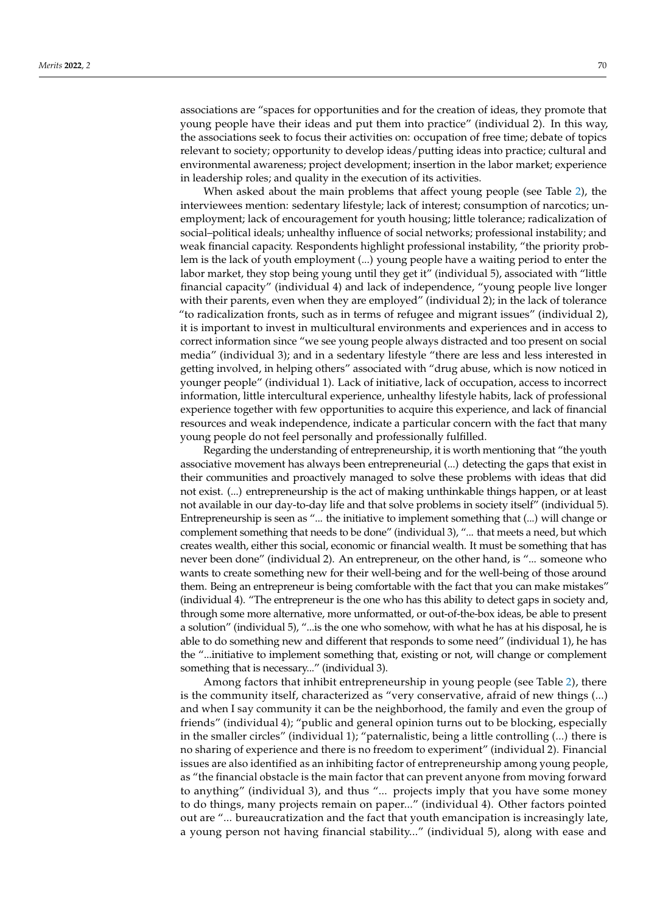associations are "spaces for opportunities and for the creation of ideas, they promote that young people have their ideas and put them into practice" (individual 2). In this way, the associations seek to focus their activities on: occupation of free time; debate of topics relevant to society; opportunity to develop ideas/putting ideas into practice; cultural and environmental awareness; project development; insertion in the labor market; experience in leadership roles; and quality in the execution of its activities.

When asked about the main problems that affect young people (see Table [2\)](#page-7-1), the interviewees mention: sedentary lifestyle; lack of interest; consumption of narcotics; unemployment; lack of encouragement for youth housing; little tolerance; radicalization of social–political ideals; unhealthy influence of social networks; professional instability; and weak financial capacity. Respondents highlight professional instability, "the priority problem is the lack of youth employment (...) young people have a waiting period to enter the labor market, they stop being young until they get it" (individual 5), associated with "little financial capacity" (individual 4) and lack of independence, "young people live longer with their parents, even when they are employed" (individual 2); in the lack of tolerance "to radicalization fronts, such as in terms of refugee and migrant issues" (individual 2), it is important to invest in multicultural environments and experiences and in access to correct information since "we see young people always distracted and too present on social media" (individual 3); and in a sedentary lifestyle "there are less and less interested in getting involved, in helping others" associated with "drug abuse, which is now noticed in younger people" (individual 1). Lack of initiative, lack of occupation, access to incorrect information, little intercultural experience, unhealthy lifestyle habits, lack of professional experience together with few opportunities to acquire this experience, and lack of financial resources and weak independence, indicate a particular concern with the fact that many young people do not feel personally and professionally fulfilled.

Regarding the understanding of entrepreneurship, it is worth mentioning that "the youth associative movement has always been entrepreneurial (...) detecting the gaps that exist in their communities and proactively managed to solve these problems with ideas that did not exist. (...) entrepreneurship is the act of making unthinkable things happen, or at least not available in our day-to-day life and that solve problems in society itself" (individual 5). Entrepreneurship is seen as "... the initiative to implement something that (...) will change or complement something that needs to be done" (individual 3), "... that meets a need, but which creates wealth, either this social, economic or financial wealth. It must be something that has never been done" (individual 2). An entrepreneur, on the other hand, is "... someone who wants to create something new for their well-being and for the well-being of those around them. Being an entrepreneur is being comfortable with the fact that you can make mistakes" (individual 4). "The entrepreneur is the one who has this ability to detect gaps in society and, through some more alternative, more unformatted, or out-of-the-box ideas, be able to present a solution" (individual 5), "...is the one who somehow, with what he has at his disposal, he is able to do something new and different that responds to some need" (individual 1), he has the "...initiative to implement something that, existing or not, will change or complement something that is necessary..." (individual 3).

Among factors that inhibit entrepreneurship in young people (see Table [2\)](#page-7-1), there is the community itself, characterized as "very conservative, afraid of new things  $(...)$ and when I say community it can be the neighborhood, the family and even the group of friends" (individual 4); "public and general opinion turns out to be blocking, especially in the smaller circles" (individual 1); "paternalistic, being a little controlling (...) there is no sharing of experience and there is no freedom to experiment" (individual 2). Financial issues are also identified as an inhibiting factor of entrepreneurship among young people, as "the financial obstacle is the main factor that can prevent anyone from moving forward to anything" (individual 3), and thus "... projects imply that you have some money to do things, many projects remain on paper..." (individual 4). Other factors pointed out are "... bureaucratization and the fact that youth emancipation is increasingly late, a young person not having financial stability..." (individual 5), along with ease and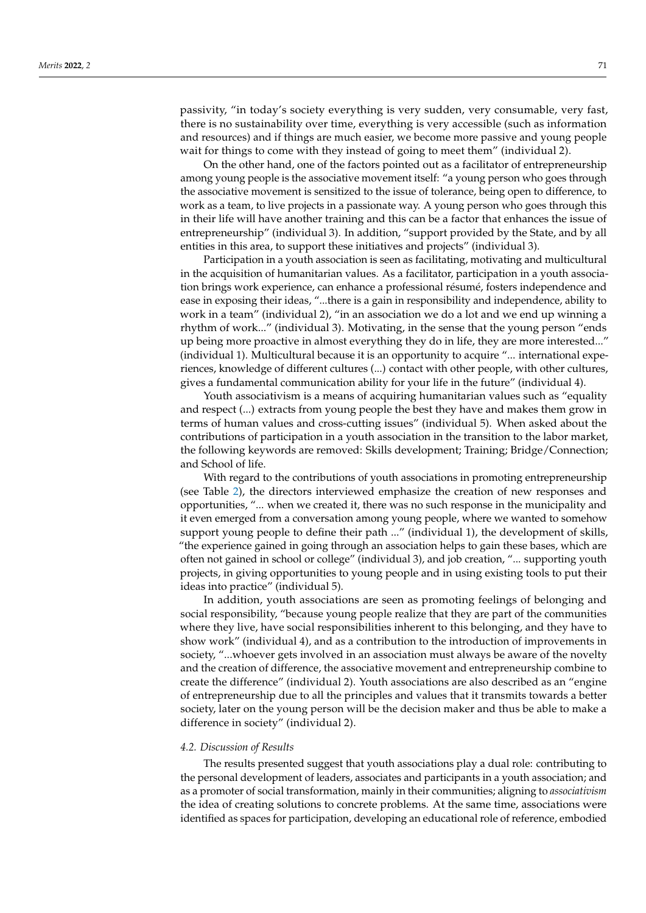passivity, "in today's society everything is very sudden, very consumable, very fast, there is no sustainability over time, everything is very accessible (such as information and resources) and if things are much easier, we become more passive and young people wait for things to come with they instead of going to meet them" (individual 2).

On the other hand, one of the factors pointed out as a facilitator of entrepreneurship among young people is the associative movement itself: "a young person who goes through the associative movement is sensitized to the issue of tolerance, being open to difference, to work as a team, to live projects in a passionate way. A young person who goes through this in their life will have another training and this can be a factor that enhances the issue of entrepreneurship" (individual 3). In addition, "support provided by the State, and by all entities in this area, to support these initiatives and projects" (individual 3).

Participation in a youth association is seen as facilitating, motivating and multicultural in the acquisition of humanitarian values. As a facilitator, participation in a youth association brings work experience, can enhance a professional résumé, fosters independence and ease in exposing their ideas, "...there is a gain in responsibility and independence, ability to work in a team" (individual 2), "in an association we do a lot and we end up winning a rhythm of work..." (individual 3). Motivating, in the sense that the young person "ends up being more proactive in almost everything they do in life, they are more interested..." (individual 1). Multicultural because it is an opportunity to acquire "... international experiences, knowledge of different cultures (...) contact with other people, with other cultures, gives a fundamental communication ability for your life in the future" (individual 4).

Youth associativism is a means of acquiring humanitarian values such as "equality and respect (...) extracts from young people the best they have and makes them grow in terms of human values and cross-cutting issues" (individual 5). When asked about the contributions of participation in a youth association in the transition to the labor market, the following keywords are removed: Skills development; Training; Bridge/Connection; and School of life.

With regard to the contributions of youth associations in promoting entrepreneurship (see Table [2\)](#page-7-1), the directors interviewed emphasize the creation of new responses and opportunities, "... when we created it, there was no such response in the municipality and it even emerged from a conversation among young people, where we wanted to somehow support young people to define their path ..." (individual 1), the development of skills, "the experience gained in going through an association helps to gain these bases, which are often not gained in school or college" (individual 3), and job creation, "... supporting youth projects, in giving opportunities to young people and in using existing tools to put their ideas into practice" (individual 5).

In addition, youth associations are seen as promoting feelings of belonging and social responsibility, "because young people realize that they are part of the communities where they live, have social responsibilities inherent to this belonging, and they have to show work" (individual 4), and as a contribution to the introduction of improvements in society, "...whoever gets involved in an association must always be aware of the novelty and the creation of difference, the associative movement and entrepreneurship combine to create the difference" (individual 2). Youth associations are also described as an "engine of entrepreneurship due to all the principles and values that it transmits towards a better society, later on the young person will be the decision maker and thus be able to make a difference in society" (individual 2).

#### *4.2. Discussion of Results*

The results presented suggest that youth associations play a dual role: contributing to the personal development of leaders, associates and participants in a youth association; and as a promoter of social transformation, mainly in their communities; aligning to *associativism* the idea of creating solutions to concrete problems. At the same time, associations were identified as spaces for participation, developing an educational role of reference, embodied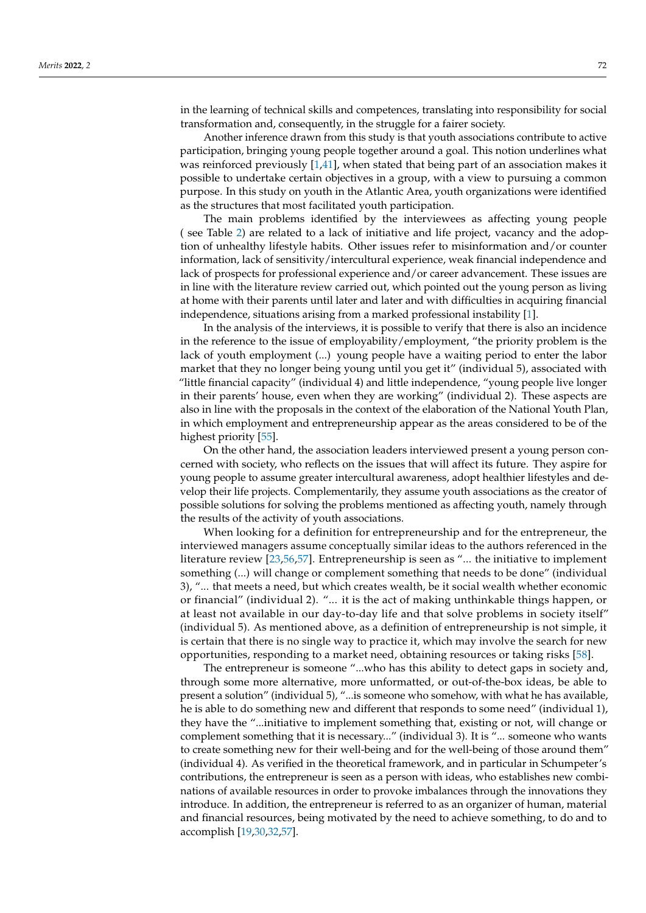in the learning of technical skills and competences, translating into responsibility for social transformation and, consequently, in the struggle for a fairer society.

Another inference drawn from this study is that youth associations contribute to active participation, bringing young people together around a goal. This notion underlines what was reinforced previously [\[1,](#page-16-0)[41\]](#page-17-32), when stated that being part of an association makes it possible to undertake certain objectives in a group, with a view to pursuing a common purpose. In this study on youth in the Atlantic Area, youth organizations were identified as the structures that most facilitated youth participation.

The main problems identified by the interviewees as affecting young people ( see Table [2\)](#page-7-1) are related to a lack of initiative and life project, vacancy and the adoption of unhealthy lifestyle habits. Other issues refer to misinformation and/or counter information, lack of sensitivity/intercultural experience, weak financial independence and lack of prospects for professional experience and/or career advancement. These issues are in line with the literature review carried out, which pointed out the young person as living at home with their parents until later and later and with difficulties in acquiring financial independence, situations arising from a marked professional instability [\[1\]](#page-16-0).

In the analysis of the interviews, it is possible to verify that there is also an incidence in the reference to the issue of employability/employment, "the priority problem is the lack of youth employment (...) young people have a waiting period to enter the labor market that they no longer being young until you get it" (individual 5), associated with "little financial capacity" (individual 4) and little independence, "young people live longer in their parents' house, even when they are working" (individual 2). These aspects are also in line with the proposals in the context of the elaboration of the National Youth Plan, in which employment and entrepreneurship appear as the areas considered to be of the highest priority [\[55\]](#page-18-10).

On the other hand, the association leaders interviewed present a young person concerned with society, who reflects on the issues that will affect its future. They aspire for young people to assume greater intercultural awareness, adopt healthier lifestyles and develop their life projects. Complementarily, they assume youth associations as the creator of possible solutions for solving the problems mentioned as affecting youth, namely through the results of the activity of youth associations.

When looking for a definition for entrepreneurship and for the entrepreneur, the interviewed managers assume conceptually similar ideas to the authors referenced in the literature review [\[23,](#page-17-14)[56](#page-18-11)[,57\]](#page-18-12). Entrepreneurship is seen as "... the initiative to implement something (...) will change or complement something that needs to be done" (individual 3), "... that meets a need, but which creates wealth, be it social wealth whether economic or financial" (individual 2). "... it is the act of making unthinkable things happen, or at least not available in our day-to-day life and that solve problems in society itself" (individual 5). As mentioned above, as a definition of entrepreneurship is not simple, it is certain that there is no single way to practice it, which may involve the search for new opportunities, responding to a market need, obtaining resources or taking risks [\[58\]](#page-18-13).

The entrepreneur is someone "...who has this ability to detect gaps in society and, through some more alternative, more unformatted, or out-of-the-box ideas, be able to present a solution" (individual 5), "...is someone who somehow, with what he has available, he is able to do something new and different that responds to some need" (individual 1), they have the "...initiative to implement something that, existing or not, will change or complement something that it is necessary..." (individual 3). It is "... someone who wants to create something new for their well-being and for the well-being of those around them" (individual 4). As verified in the theoretical framework, and in particular in Schumpeter's contributions, the entrepreneur is seen as a person with ideas, who establishes new combinations of available resources in order to provoke imbalances through the innovations they introduce. In addition, the entrepreneur is referred to as an organizer of human, material and financial resources, being motivated by the need to achieve something, to do and to accomplish [\[19,](#page-17-10)[30](#page-17-21)[,32](#page-17-23)[,57\]](#page-18-12).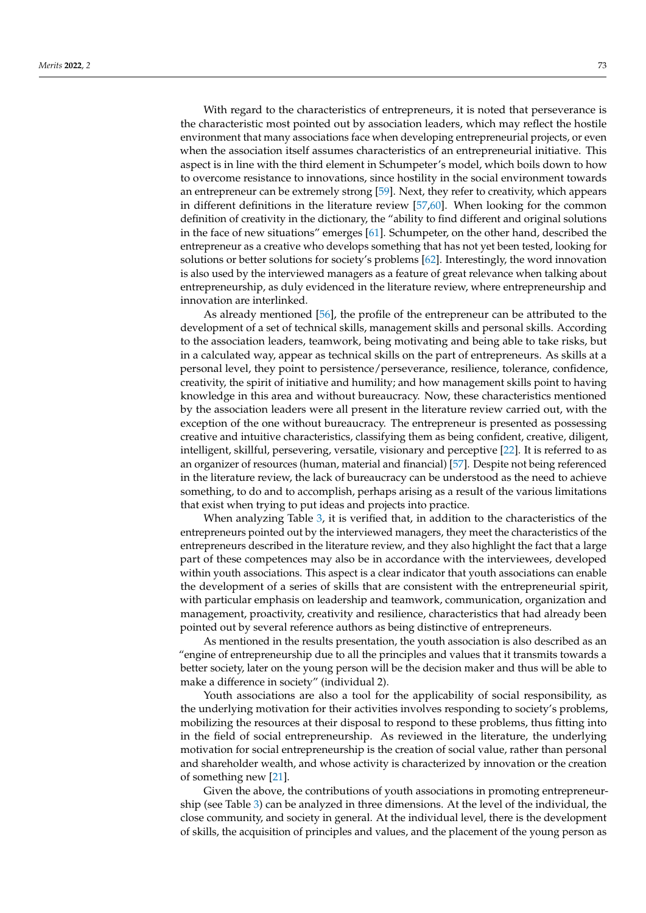With regard to the characteristics of entrepreneurs, it is noted that perseverance is the characteristic most pointed out by association leaders, which may reflect the hostile environment that many associations face when developing entrepreneurial projects, or even when the association itself assumes characteristics of an entrepreneurial initiative. This aspect is in line with the third element in Schumpeter's model, which boils down to how to overcome resistance to innovations, since hostility in the social environment towards an entrepreneur can be extremely strong [\[59\]](#page-18-14). Next, they refer to creativity, which appears in different definitions in the literature review [\[57,](#page-18-12)[60\]](#page-18-15). When looking for the common definition of creativity in the dictionary, the "ability to find different and original solutions in the face of new situations" emerges [\[61\]](#page-18-16). Schumpeter, on the other hand, described the entrepreneur as a creative who develops something that has not yet been tested, looking for solutions or better solutions for society's problems [\[62\]](#page-18-17). Interestingly, the word innovation is also used by the interviewed managers as a feature of great relevance when talking about entrepreneurship, as duly evidenced in the literature review, where entrepreneurship and innovation are interlinked.

As already mentioned [\[56\]](#page-18-11), the profile of the entrepreneur can be attributed to the development of a set of technical skills, management skills and personal skills. According to the association leaders, teamwork, being motivating and being able to take risks, but in a calculated way, appear as technical skills on the part of entrepreneurs. As skills at a personal level, they point to persistence/perseverance, resilience, tolerance, confidence, creativity, the spirit of initiative and humility; and how management skills point to having knowledge in this area and without bureaucracy. Now, these characteristics mentioned by the association leaders were all present in the literature review carried out, with the exception of the one without bureaucracy. The entrepreneur is presented as possessing creative and intuitive characteristics, classifying them as being confident, creative, diligent, intelligent, skillful, persevering, versatile, visionary and perceptive [\[22\]](#page-17-13). It is referred to as an organizer of resources (human, material and financial) [\[57\]](#page-18-12). Despite not being referenced in the literature review, the lack of bureaucracy can be understood as the need to achieve something, to do and to accomplish, perhaps arising as a result of the various limitations that exist when trying to put ideas and projects into practice.

When analyzing Table [3,](#page-12-0) it is verified that, in addition to the characteristics of the entrepreneurs pointed out by the interviewed managers, they meet the characteristics of the entrepreneurs described in the literature review, and they also highlight the fact that a large part of these competences may also be in accordance with the interviewees, developed within youth associations. This aspect is a clear indicator that youth associations can enable the development of a series of skills that are consistent with the entrepreneurial spirit, with particular emphasis on leadership and teamwork, communication, organization and management, proactivity, creativity and resilience, characteristics that had already been pointed out by several reference authors as being distinctive of entrepreneurs.

As mentioned in the results presentation, the youth association is also described as an "engine of entrepreneurship due to all the principles and values that it transmits towards a better society, later on the young person will be the decision maker and thus will be able to make a difference in society" (individual 2).

Youth associations are also a tool for the applicability of social responsibility, as the underlying motivation for their activities involves responding to society's problems, mobilizing the resources at their disposal to respond to these problems, thus fitting into in the field of social entrepreneurship. As reviewed in the literature, the underlying motivation for social entrepreneurship is the creation of social value, rather than personal and shareholder wealth, and whose activity is characterized by innovation or the creation of something new [\[21\]](#page-17-12).

Given the above, the contributions of youth associations in promoting entrepreneurship (see Table [3\)](#page-12-0) can be analyzed in three dimensions. At the level of the individual, the close community, and society in general. At the individual level, there is the development of skills, the acquisition of principles and values, and the placement of the young person as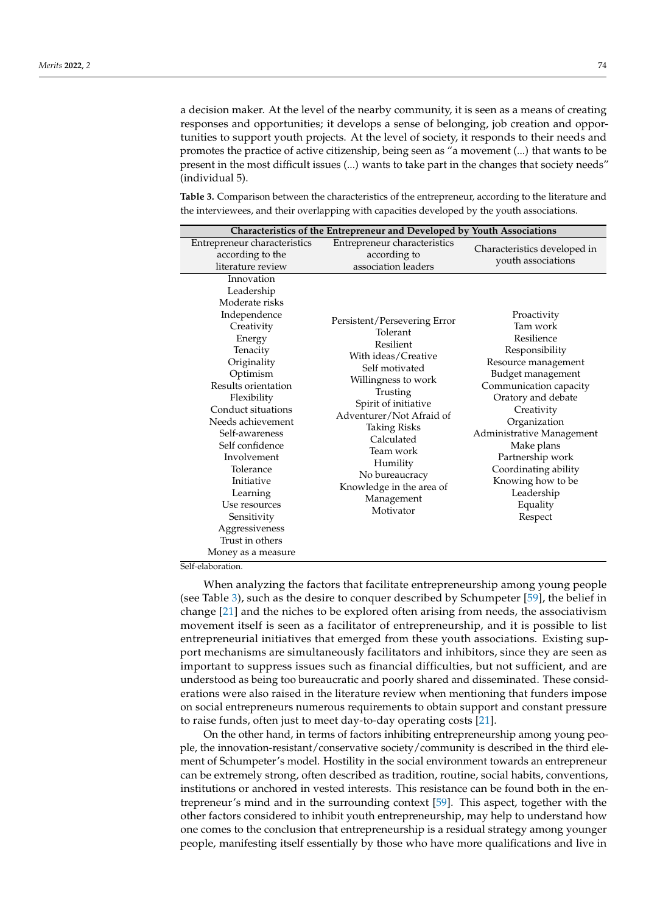a decision maker. At the level of the nearby community, it is seen as a means of creating responses and opportunities; it develops a sense of belonging, job creation and opportunities to support youth projects. At the level of society, it responds to their needs and promotes the practice of active citizenship, being seen as "a movement (...) that wants to be present in the most difficult issues (...) wants to take part in the changes that society needs" (individual 5).

<span id="page-12-0"></span>**Table 3.** Comparison between the characteristics of the entrepreneur, according to the literature and the interviewees, and their overlapping with capacities developed by the youth associations.

|                                                                                                                                                                                                                                                                                                                                                                                                                           | Characteristics of the Entrepreneur and Developed by Youth Associations                                                                                                                                                                                                                                                      |                                                                                                                                                                                                                                                                                                                                    |
|---------------------------------------------------------------------------------------------------------------------------------------------------------------------------------------------------------------------------------------------------------------------------------------------------------------------------------------------------------------------------------------------------------------------------|------------------------------------------------------------------------------------------------------------------------------------------------------------------------------------------------------------------------------------------------------------------------------------------------------------------------------|------------------------------------------------------------------------------------------------------------------------------------------------------------------------------------------------------------------------------------------------------------------------------------------------------------------------------------|
| Entrepreneur characteristics<br>according to the<br>literature review                                                                                                                                                                                                                                                                                                                                                     | Entrepreneur characteristics<br>according to<br>association leaders                                                                                                                                                                                                                                                          | Characteristics developed in<br>youth associations                                                                                                                                                                                                                                                                                 |
| Innovation<br>Leadership<br>Moderate risks<br>Independence<br>Creativity<br>Energy<br>Tenacity<br>Originality<br>Optimism<br>Results orientation<br>Flexibility<br>Conduct situations<br>Needs achievement<br>Self-awareness<br>Self confidence<br>Involvement<br>Tolerance<br>Initiative<br>Learning<br>Use resources<br>Sensitivity<br>Aggressiveness<br>Trust in others<br>Money as a measure<br>$10 - 1 - 1 -  11 - $ | Persistent/Persevering Error<br>Tolerant<br>Resilient<br>With ideas/Creative<br>Self motivated<br>Willingness to work<br>Trusting<br>Spirit of initiative<br>Adventurer/Not Afraid of<br><b>Taking Risks</b><br>Calculated<br>Team work<br>Humility<br>No bureaucracy<br>Knowledge in the area of<br>Management<br>Motivator | Proactivity<br>Tam work<br>Resilience<br>Responsibility<br>Resource management<br>Budget management<br>Communication capacity<br>Oratory and debate<br>Creativity<br>Organization<br>Administrative Management<br>Make plans<br>Partnership work<br>Coordinating ability<br>Knowing how to be<br>Leadership<br>Equality<br>Respect |

Self-elaboration.

When analyzing the factors that facilitate entrepreneurship among young people (see Table [3\)](#page-12-0), such as the desire to conquer described by Schumpeter [\[59\]](#page-18-14), the belief in change [\[21\]](#page-17-12) and the niches to be explored often arising from needs, the associativism movement itself is seen as a facilitator of entrepreneurship, and it is possible to list entrepreneurial initiatives that emerged from these youth associations. Existing support mechanisms are simultaneously facilitators and inhibitors, since they are seen as important to suppress issues such as financial difficulties, but not sufficient, and are understood as being too bureaucratic and poorly shared and disseminated. These considerations were also raised in the literature review when mentioning that funders impose on social entrepreneurs numerous requirements to obtain support and constant pressure to raise funds, often just to meet day-to-day operating costs [\[21\]](#page-17-12).

On the other hand, in terms of factors inhibiting entrepreneurship among young people, the innovation-resistant/conservative society/community is described in the third element of Schumpeter's model. Hostility in the social environment towards an entrepreneur can be extremely strong, often described as tradition, routine, social habits, conventions, institutions or anchored in vested interests. This resistance can be found both in the entrepreneur's mind and in the surrounding context [\[59\]](#page-18-14). This aspect, together with the other factors considered to inhibit youth entrepreneurship, may help to understand how one comes to the conclusion that entrepreneurship is a residual strategy among younger people, manifesting itself essentially by those who have more qualifications and live in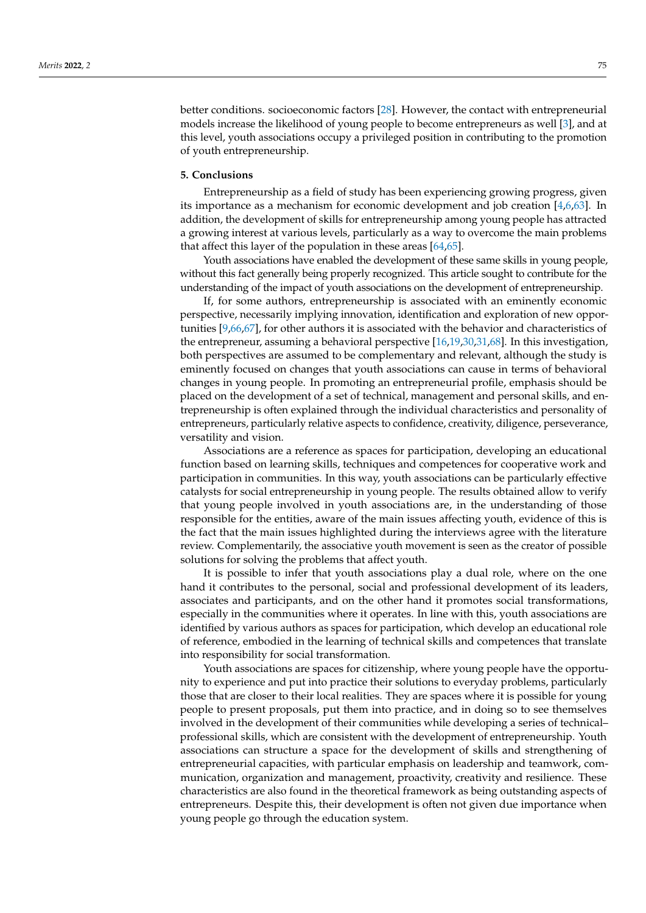better conditions. socioeconomic factors [\[28\]](#page-17-19). However, the contact with entrepreneurial models increase the likelihood of young people to become entrepreneurs as well [\[3\]](#page-16-2), and at this level, youth associations occupy a privileged position in contributing to the promotion of youth entrepreneurship.

#### **5. Conclusions**

Entrepreneurship as a field of study has been experiencing growing progress, given its importance as a mechanism for economic development and job creation [\[4,](#page-16-3)[6](#page-16-5)[,63\]](#page-18-18). In addition, the development of skills for entrepreneurship among young people has attracted a growing interest at various levels, particularly as a way to overcome the main problems that affect this layer of the population in these areas [\[64,](#page-18-19)[65\]](#page-18-20).

Youth associations have enabled the development of these same skills in young people, without this fact generally being properly recognized. This article sought to contribute for the understanding of the impact of youth associations on the development of entrepreneurship.

If, for some authors, entrepreneurship is associated with an eminently economic perspective, necessarily implying innovation, identification and exploration of new opportunities [\[9,](#page-17-0)[66,](#page-18-21)[67\]](#page-18-22), for other authors it is associated with the behavior and characteristics of the entrepreneur, assuming a behavioral perspective [\[16](#page-17-7)[,19](#page-17-10)[,30](#page-17-21)[,31,](#page-17-22)[68\]](#page-18-23). In this investigation, both perspectives are assumed to be complementary and relevant, although the study is eminently focused on changes that youth associations can cause in terms of behavioral changes in young people. In promoting an entrepreneurial profile, emphasis should be placed on the development of a set of technical, management and personal skills, and entrepreneurship is often explained through the individual characteristics and personality of entrepreneurs, particularly relative aspects to confidence, creativity, diligence, perseverance, versatility and vision.

Associations are a reference as spaces for participation, developing an educational function based on learning skills, techniques and competences for cooperative work and participation in communities. In this way, youth associations can be particularly effective catalysts for social entrepreneurship in young people. The results obtained allow to verify that young people involved in youth associations are, in the understanding of those responsible for the entities, aware of the main issues affecting youth, evidence of this is the fact that the main issues highlighted during the interviews agree with the literature review. Complementarily, the associative youth movement is seen as the creator of possible solutions for solving the problems that affect youth.

It is possible to infer that youth associations play a dual role, where on the one hand it contributes to the personal, social and professional development of its leaders, associates and participants, and on the other hand it promotes social transformations, especially in the communities where it operates. In line with this, youth associations are identified by various authors as spaces for participation, which develop an educational role of reference, embodied in the learning of technical skills and competences that translate into responsibility for social transformation.

Youth associations are spaces for citizenship, where young people have the opportunity to experience and put into practice their solutions to everyday problems, particularly those that are closer to their local realities. They are spaces where it is possible for young people to present proposals, put them into practice, and in doing so to see themselves involved in the development of their communities while developing a series of technical– professional skills, which are consistent with the development of entrepreneurship. Youth associations can structure a space for the development of skills and strengthening of entrepreneurial capacities, with particular emphasis on leadership and teamwork, communication, organization and management, proactivity, creativity and resilience. These characteristics are also found in the theoretical framework as being outstanding aspects of entrepreneurs. Despite this, their development is often not given due importance when young people go through the education system.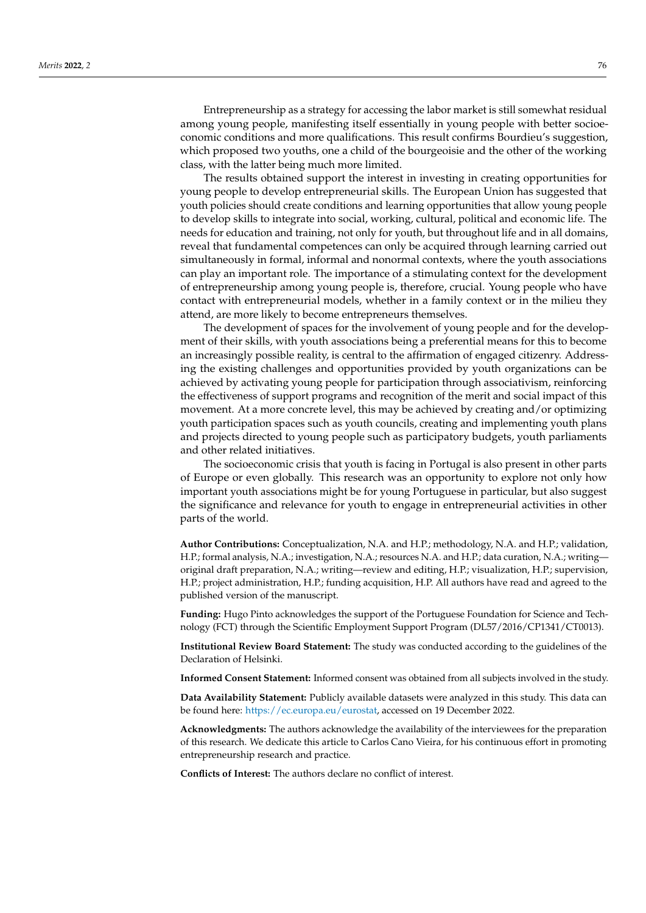Entrepreneurship as a strategy for accessing the labor market is still somewhat residual among young people, manifesting itself essentially in young people with better socioeconomic conditions and more qualifications. This result confirms Bourdieu's suggestion, which proposed two youths, one a child of the bourgeoisie and the other of the working class, with the latter being much more limited.

The results obtained support the interest in investing in creating opportunities for young people to develop entrepreneurial skills. The European Union has suggested that youth policies should create conditions and learning opportunities that allow young people to develop skills to integrate into social, working, cultural, political and economic life. The needs for education and training, not only for youth, but throughout life and in all domains, reveal that fundamental competences can only be acquired through learning carried out simultaneously in formal, informal and nonormal contexts, where the youth associations can play an important role. The importance of a stimulating context for the development of entrepreneurship among young people is, therefore, crucial. Young people who have contact with entrepreneurial models, whether in a family context or in the milieu they attend, are more likely to become entrepreneurs themselves.

The development of spaces for the involvement of young people and for the development of their skills, with youth associations being a preferential means for this to become an increasingly possible reality, is central to the affirmation of engaged citizenry. Addressing the existing challenges and opportunities provided by youth organizations can be achieved by activating young people for participation through associativism, reinforcing the effectiveness of support programs and recognition of the merit and social impact of this movement. At a more concrete level, this may be achieved by creating and/or optimizing youth participation spaces such as youth councils, creating and implementing youth plans and projects directed to young people such as participatory budgets, youth parliaments and other related initiatives.

The socioeconomic crisis that youth is facing in Portugal is also present in other parts of Europe or even globally. This research was an opportunity to explore not only how important youth associations might be for young Portuguese in particular, but also suggest the significance and relevance for youth to engage in entrepreneurial activities in other parts of the world.

**Author Contributions:** Conceptualization, N.A. and H.P.; methodology, N.A. and H.P.; validation, H.P.; formal analysis, N.A.; investigation, N.A.; resources N.A. and H.P.; data curation, N.A.; writing original draft preparation, N.A.; writing—review and editing, H.P.; visualization, H.P.; supervision, H.P.; project administration, H.P.; funding acquisition, H.P. All authors have read and agreed to the published version of the manuscript.

**Funding:** Hugo Pinto acknowledges the support of the Portuguese Foundation for Science and Technology (FCT) through the Scientific Employment Support Program (DL57/2016/CP1341/CT0013).

**Institutional Review Board Statement:** The study was conducted according to the guidelines of the Declaration of Helsinki.

**Informed Consent Statement:** Informed consent was obtained from all subjects involved in the study.

**Data Availability Statement:** Publicly available datasets were analyzed in this study. This data can be found here: [https://ec.europa.eu/eurostat,](https://ec.europa.eu/eurostat) accessed on 19 December 2022.

**Acknowledgments:** The authors acknowledge the availability of the interviewees for the preparation of this research. We dedicate this article to Carlos Cano Vieira, for his continuous effort in promoting entrepreneurship research and practice.

**Conflicts of Interest:** The authors declare no conflict of interest.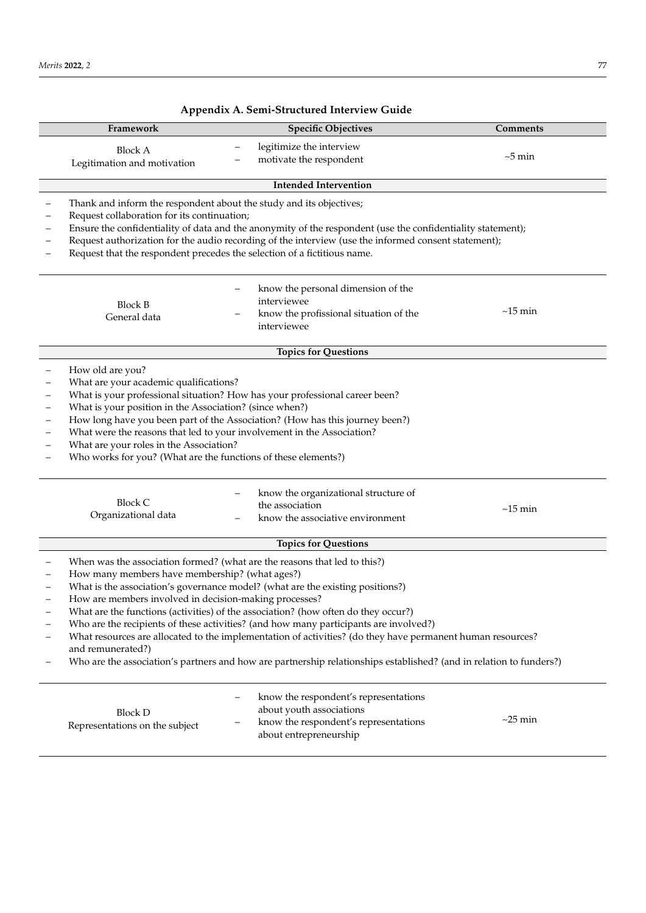|                                                                                                                                                                                                                                                                                                                                                                                                                                                                                                                                                                                                                                                                                                                  | Framework                                                                                                                                                                                                                                                                                                    | <b>Specific Objectives</b>                                                                                                                                                                                          | Comments      |
|------------------------------------------------------------------------------------------------------------------------------------------------------------------------------------------------------------------------------------------------------------------------------------------------------------------------------------------------------------------------------------------------------------------------------------------------------------------------------------------------------------------------------------------------------------------------------------------------------------------------------------------------------------------------------------------------------------------|--------------------------------------------------------------------------------------------------------------------------------------------------------------------------------------------------------------------------------------------------------------------------------------------------------------|---------------------------------------------------------------------------------------------------------------------------------------------------------------------------------------------------------------------|---------------|
|                                                                                                                                                                                                                                                                                                                                                                                                                                                                                                                                                                                                                                                                                                                  | <b>Block A</b><br>Legitimation and motivation                                                                                                                                                                                                                                                                | legitimize the interview<br>-<br>motivate the respondent                                                                                                                                                            | $\sim$ 5 min  |
|                                                                                                                                                                                                                                                                                                                                                                                                                                                                                                                                                                                                                                                                                                                  |                                                                                                                                                                                                                                                                                                              | <b>Intended Intervention</b>                                                                                                                                                                                        |               |
|                                                                                                                                                                                                                                                                                                                                                                                                                                                                                                                                                                                                                                                                                                                  | Thank and inform the respondent about the study and its objectives;<br>Request collaboration for its continuation;<br>Request that the respondent precedes the selection of a fictitious name.                                                                                                               | Ensure the confidentiality of data and the anonymity of the respondent (use the confidentiality statement);<br>Request authorization for the audio recording of the interview (use the informed consent statement); |               |
|                                                                                                                                                                                                                                                                                                                                                                                                                                                                                                                                                                                                                                                                                                                  | <b>Block B</b><br>General data                                                                                                                                                                                                                                                                               | know the personal dimension of the<br>interviewee<br>know the profissional situation of the<br>interviewee                                                                                                          | $\sim$ 15 min |
|                                                                                                                                                                                                                                                                                                                                                                                                                                                                                                                                                                                                                                                                                                                  |                                                                                                                                                                                                                                                                                                              | <b>Topics for Questions</b>                                                                                                                                                                                         |               |
| $\overline{\phantom{0}}$                                                                                                                                                                                                                                                                                                                                                                                                                                                                                                                                                                                                                                                                                         | How old are you?<br>What are your academic qualifications?<br>What is your position in the Association? (since when?)<br>What were the reasons that led to your involvement in the Association?<br>What are your roles in the Association?<br>Who works for you? (What are the functions of these elements?) | What is your professional situation? How has your professional career been?<br>How long have you been part of the Association? (How has this journey been?)                                                         |               |
|                                                                                                                                                                                                                                                                                                                                                                                                                                                                                                                                                                                                                                                                                                                  | <b>Block C</b><br>Organizational data                                                                                                                                                                                                                                                                        | know the organizational structure of<br>the association<br>know the associative environment                                                                                                                         | $\sim$ 15 min |
|                                                                                                                                                                                                                                                                                                                                                                                                                                                                                                                                                                                                                                                                                                                  |                                                                                                                                                                                                                                                                                                              | <b>Topics for Questions</b>                                                                                                                                                                                         |               |
| When was the association formed? (what are the reasons that led to this?)<br>How many members have membership? (what ages?)<br>What is the association's governance model? (what are the existing positions?)<br>How are members involved in decision-making processes?<br>What are the functions (activities) of the association? (how often do they occur?)<br>Who are the recipients of these activities? (and how many participants are involved?)<br>What resources are allocated to the implementation of activities? (do they have permanent human resources?<br>and remunerated?)<br>Who are the association's partners and how are partnership relationships established? (and in relation to funders?) |                                                                                                                                                                                                                                                                                                              |                                                                                                                                                                                                                     |               |
|                                                                                                                                                                                                                                                                                                                                                                                                                                                                                                                                                                                                                                                                                                                  | <b>Block D</b><br>Representations on the subject                                                                                                                                                                                                                                                             | know the respondent's representations<br>about youth associations<br>know the respondent's representations<br>about entrepreneurship                                                                                | $\sim$ 25 min |

# <span id="page-15-0"></span>**Appendix A. Semi-Structured Interview Guide**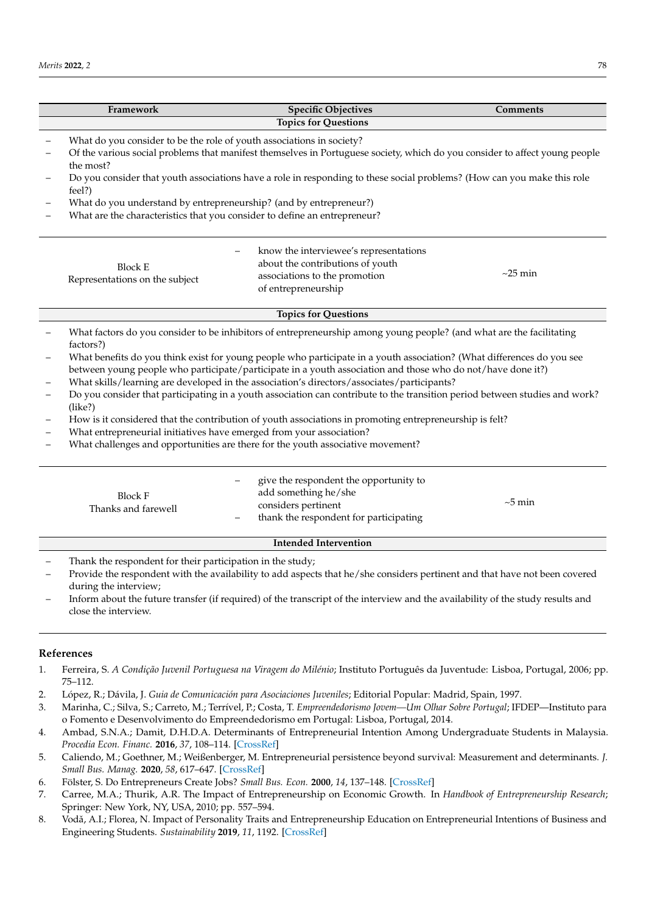|                          | Framework                                                                                                                                | <b>Specific Objectives</b>                                                                                                  | <b>Comments</b> |  |
|--------------------------|------------------------------------------------------------------------------------------------------------------------------------------|-----------------------------------------------------------------------------------------------------------------------------|-----------------|--|
|                          |                                                                                                                                          | <b>Topics for Questions</b>                                                                                                 |                 |  |
|                          | What do you consider to be the role of youth associations in society?                                                                    |                                                                                                                             |                 |  |
|                          | Of the various social problems that manifest themselves in Portuguese society, which do you consider to affect young people<br>the most? |                                                                                                                             |                 |  |
|                          | Do you consider that youth associations have a role in responding to these social problems? (How can you make this role<br>feel?)        |                                                                                                                             |                 |  |
|                          | What do you understand by entrepreneurship? (and by entrepreneur?)                                                                       |                                                                                                                             |                 |  |
|                          | What are the characteristics that you consider to define an entrepreneur?                                                                |                                                                                                                             |                 |  |
|                          |                                                                                                                                          | know the interviewee's representations                                                                                      |                 |  |
|                          | <b>Block E</b>                                                                                                                           | about the contributions of youth                                                                                            |                 |  |
|                          | Representations on the subject                                                                                                           | associations to the promotion                                                                                               | $\sim$ 25 min   |  |
|                          |                                                                                                                                          | of entrepreneurship                                                                                                         |                 |  |
|                          |                                                                                                                                          | <b>Topics for Questions</b>                                                                                                 |                 |  |
|                          | factors?)                                                                                                                                | What factors do you consider to be inhibitors of entrepreneurship among young people? (and what are the facilitating        |                 |  |
| $\overline{\phantom{0}}$ |                                                                                                                                          | What benefits do you think exist for young people who participate in a youth association? (What differences do you see      |                 |  |
|                          |                                                                                                                                          | between young people who participate/participate in a youth association and those who do not/have done it?)                 |                 |  |
|                          |                                                                                                                                          | What skills/learning are developed in the association's directors/associates/participants?                                  |                 |  |
|                          | (like?)                                                                                                                                  | Do you consider that participating in a youth association can contribute to the transition period between studies and work? |                 |  |
|                          |                                                                                                                                          | How is it considered that the contribution of youth associations in promoting entrepreneurship is felt?                     |                 |  |
|                          | What entrepreneurial initiatives have emerged from your association?                                                                     |                                                                                                                             |                 |  |
|                          |                                                                                                                                          | What challenges and opportunities are there for the youth associative movement?                                             |                 |  |
|                          |                                                                                                                                          | give the respondent the opportunity to                                                                                      |                 |  |
|                          | <b>Block F</b>                                                                                                                           | add something he/she                                                                                                        |                 |  |
|                          | Thanks and farewell                                                                                                                      | considers pertinent                                                                                                         | $\sim$ 5 min    |  |
|                          |                                                                                                                                          | thank the respondent for participating                                                                                      |                 |  |
|                          |                                                                                                                                          | <b>Intended Intervention</b>                                                                                                |                 |  |
|                          | Thank the respondent for their participation in the study;                                                                               |                                                                                                                             |                 |  |
|                          |                                                                                                                                          | Provide the respondent with the availability to add aspects that he/she considers pertinent and that have not been covered  |                 |  |
|                          | during the interview;                                                                                                                    |                                                                                                                             |                 |  |

– Inform about the future transfer (if required) of the transcript of the interview and the availability of the study results and close the interview.

## **References**

- <span id="page-16-0"></span>1. Ferreira, S. *A Condição Juvenil Portuguesa na Viragem do Milénio*; Instituto Português da Juventude: Lisboa, Portugal, 2006; pp. 75–112.
- <span id="page-16-1"></span>2. López, R.; Dávila, J. *Guia de Comunicación para Asociaciones Juveniles*; Editorial Popular: Madrid, Spain, 1997.
- <span id="page-16-2"></span>3. Marinha, C.; Silva, S.; Carreto, M.; Terrível, P.; Costa, T. *Empreendedorismo Jovem—Um Olhar Sobre Portugal*; IFDEP—Instituto para o Fomento e Desenvolvimento do Empreendedorismo em Portugal: Lisboa, Portugal, 2014.
- <span id="page-16-3"></span>4. Ambad, S.N.A.; Damit, D.H.D.A. Determinants of Entrepreneurial Intention Among Undergraduate Students in Malaysia. *Procedia Econ. Financ.* **2016**, *37*, 108–114. [\[CrossRef\]](http://doi.org/10.1016/S2212-5671(16)30100-9)
- <span id="page-16-4"></span>5. Caliendo, M.; Goethner, M.; Weißenberger, M. Entrepreneurial persistence beyond survival: Measurement and determinants. *J. Small Bus. Manag.* **2020**, *58*, 617–647. [\[CrossRef\]](http://doi.org/10.1080/00472778.2019.1666532)
- <span id="page-16-5"></span>6. Fölster, S. Do Entrepreneurs Create Jobs? *Small Bus. Econ.* **2000**, *14*, 137–148. [\[CrossRef\]](http://doi.org/10.1023/A:1008141516160)
- <span id="page-16-6"></span>7. Carree, M.A.; Thurik, A.R. The Impact of Entrepreneurship on Economic Growth. In *Handbook of Entrepreneurship Research*; Springer: New York, NY, USA, 2010; pp. 557–594.
- <span id="page-16-7"></span>8. Vodă, A.I.; Florea, N. Impact of Personality Traits and Entrepreneurship Education on Entrepreneurial Intentions of Business and Engineering Students. *Sustainability* **2019**, *11*, 1192. [\[CrossRef\]](http://doi.org/10.3390/su11041192)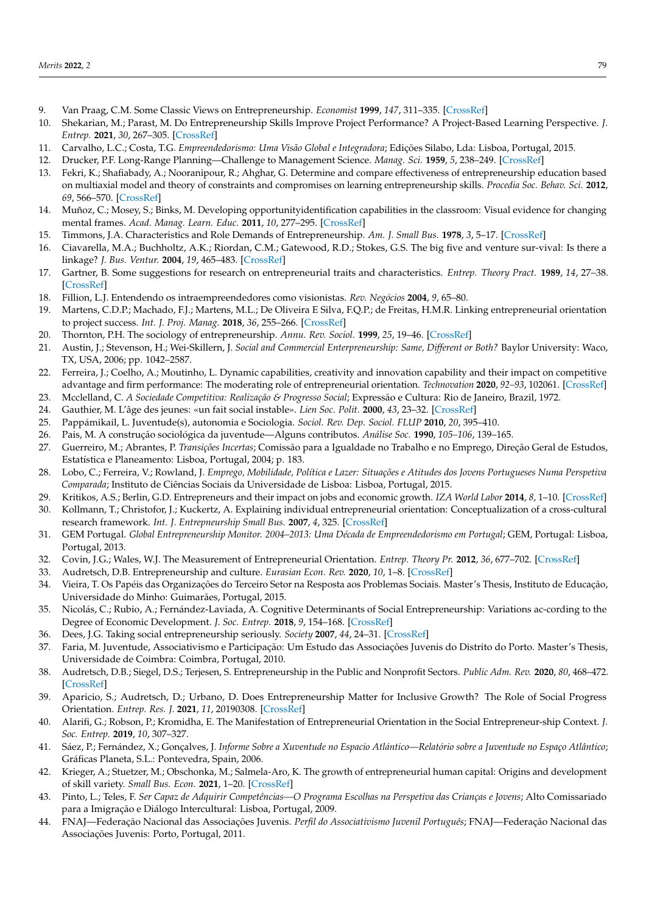- <span id="page-17-0"></span>9. Van Praag, C.M. Some Classic Views on Entrepreneurship. *Economist* **1999**, *147*, 311–335. [\[CrossRef\]](http://doi.org/10.1023/A:1003749128457)
- <span id="page-17-1"></span>10. Shekarian, M.; Parast, M. Do Entrepreneurship Skills Improve Project Performance? A Project-Based Learning Perspective. *J. Entrep.* **2021**, *30*, 267–305. [\[CrossRef\]](http://doi.org/10.1177/09713557211025653)
- <span id="page-17-2"></span>11. Carvalho, L.C.; Costa, T.G. *Empreendedorismo: Uma Visão Global e Integradora*; Edições Silabo, Lda: Lisboa, Portugal, 2015.
- <span id="page-17-3"></span>12. Drucker, P.F. Long-Range Planning—Challenge to Management Science. *Manag. Sci.* **1959**, *5*, 238–249. [\[CrossRef\]](http://doi.org/10.1287/mnsc.5.3.238)
- <span id="page-17-4"></span>13. Fekri, K.; Shafiabady, A.; Nooranipour, R.; Ahghar, G. Determine and compare effectiveness of entrepreneurship education based on multiaxial model and theory of constraints and compromises on learning entrepreneurship skills. *Procedia Soc. Behav. Sci.* **2012**, *69*, 566–570. [\[CrossRef\]](http://doi.org/10.1016/j.sbspro.2012.11.447)
- <span id="page-17-5"></span>14. Muñoz, C.; Mosey, S.; Binks, M. Developing opportunityidentification capabilities in the classroom: Visual evidence for changing mental frames. *Acad. Manag. Learn. Educ.* **2011**, *10*, 277–295. [\[CrossRef\]](http://doi.org/10.5465/amle.10.2.zqr277)
- <span id="page-17-6"></span>15. Timmons, J.A. Characteristics and Role Demands of Entrepreneurship. *Am. J. Small Bus.* **1978**, *3*, 5–17. [\[CrossRef\]](http://doi.org/10.1177/104225877800300102)
- <span id="page-17-7"></span>16. Ciavarella, M.A.; Buchholtz, A.K.; Riordan, C.M.; Gatewood, R.D.; Stokes, G.S. The big five and venture sur-vival: Is there a linkage? *J. Bus. Ventur.* **2004**, *19*, 465–483. [\[CrossRef\]](http://doi.org/10.1016/j.jbusvent.2003.03.001)
- <span id="page-17-8"></span>17. Gartner, B. Some suggestions for research on entrepreneurial traits and characteristics. *Entrep. Theory Pract.* **1989**, *14*, 27–38. [\[CrossRef\]](http://doi.org/10.1177/104225878901400103)
- <span id="page-17-9"></span>18. Fillion, L.J. Entendendo os intraempreendedores como visionistas. *Rev. Negócios* **2004**, *9*, 65–80.
- <span id="page-17-10"></span>19. Martens, C.D.P.; Machado, F.J.; Martens, M.L.; De Oliveira E Silva, F.Q.P.; de Freitas, H.M.R. Linking entrepreneurial orientation to project success. *Int. J. Proj. Manag.* **2018**, *36*, 255–266. [\[CrossRef\]](http://doi.org/10.1016/j.ijproman.2017.10.005)
- <span id="page-17-11"></span>20. Thornton, P.H. The sociology of entrepreneurship. *Annu. Rev. Sociol.* **1999**, *25*, 19–46. [\[CrossRef\]](http://doi.org/10.1146/annurev.soc.25.1.19)
- <span id="page-17-12"></span>21. Austin, J.; Stevenson, H.; Wei-Skillern, J. *Social and Commercial Enterpreneurship: Same, Different or Both?* Baylor University: Waco, TX, USA, 2006; pp. 1042–2587.
- <span id="page-17-13"></span>22. Ferreira, J.; Coelho, A.; Moutinho, L. Dynamic capabilities, creativity and innovation capability and their impact on competitive advantage and firm performance: The moderating role of entrepreneurial orientation. *Technovation* **2020**, *92–93*, 102061. [\[CrossRef\]](http://doi.org/10.1016/j.technovation.2018.11.004)
- <span id="page-17-14"></span>23. Mcclelland, C. *A Sociedade Competitiva: Realização & Progresso Social*; Expressão e Cultura: Rio de Janeiro, Brazil, 1972.
- <span id="page-17-15"></span>24. Gauthier, M. L'âge des jeunes: «un fait social instable». *Lien Soc. Polit.* **2000**, *43*, 23–32. [\[CrossRef\]](http://doi.org/10.7202/005114ar)
- <span id="page-17-16"></span>25. Pappámikail, L. Juventude(s), autonomia e Sociologia. *Sociol. Rev. Dep. Sociol. FLUP* **2010**, *20*, 395–410.
- <span id="page-17-17"></span>26. Pais, M. A construção sociológica da juventude—Alguns contributos. *Análise Soc.* **1990**, *105–106*, 139–165.
- <span id="page-17-18"></span>27. Guerreiro, M.; Abrantes, P. *Transições Incertas*; Comissão para a Igualdade no Trabalho e no Emprego, Direção Geral de Estudos, Estatística e Planeamento: Lisboa, Portugal, 2004; p. 183.
- <span id="page-17-19"></span>28. Lobo, C.; Ferreira, V.; Rowland, J. *Emprego, Mobilidade, Política e Lazer: Situações e Atitudes dos Jovens Portugueses Numa Perspetiva Comparada*; Instituto de Ciências Sociais da Universidade de Lisboa: Lisboa, Portugal, 2015.
- <span id="page-17-20"></span>29. Kritikos, A.S.; Berlin, G.D. Entrepreneurs and their impact on jobs and economic growth. *IZA World Labor* **2014**, *8*, 1–10. [\[CrossRef\]](http://doi.org/10.15185/izawol.8)
- <span id="page-17-21"></span>30. Kollmann, T.; Christofor, J.; Kuckertz, A. Explaining individual entrepreneurial orientation: Conceptualization of a cross-cultural research framework. *Int. J. Entrepneurship Small Bus.* **2007**, *4*, 325. [\[CrossRef\]](http://doi.org/10.1504/IJESB.2007.013255)
- <span id="page-17-22"></span>31. GEM Portugal. *Global Entrepreneurship Monitor. 2004–2013: Uma Década de Empreendedorismo em Portugal*; GEM, Portugal: Lisboa, Portugal, 2013.
- <span id="page-17-23"></span>32. Covin, J.G.; Wales, W.J. The Measurement of Entrepreneurial Orientation. *Entrep. Theory Pr.* **2012**, *36*, 677–702. [\[CrossRef\]](http://doi.org/10.1111/j.1540-6520.2010.00432.x)
- <span id="page-17-24"></span>33. Audretsch, D.B. Entrepreneurship and culture. *Eurasian Econ. Rev.* **2020**, *10*, 1–8. [\[CrossRef\]](http://doi.org/10.1007/s40822-019-00132-2)
- <span id="page-17-25"></span>34. Vieira, T. Os Papéis das Organizações do Terceiro Setor na Resposta aos Problemas Sociais. Master's Thesis, Instituto de Educação, Universidade do Minho: Guimarães, Portugal, 2015.
- <span id="page-17-26"></span>35. Nicolás, C.; Rubio, A.; Fernández-Laviada, A. Cognitive Determinants of Social Entrepreneurship: Variations ac-cording to the Degree of Economic Development. *J. Soc. Entrep.* **2018**, *9*, 154–168. [\[CrossRef\]](http://doi.org/10.1080/19420676.2018.1452280)
- <span id="page-17-27"></span>36. Dees, J.G. Taking social entrepreneurship seriously. *Society* **2007**, *44*, 24–31. [\[CrossRef\]](http://doi.org/10.1007/BF02819936)
- <span id="page-17-28"></span>37. Faria, M. Juventude, Associativismo e Participação: Um Estudo das Associações Juvenis do Distrito do Porto. Master's Thesis, Universidade de Coimbra: Coimbra, Portugal, 2010.
- <span id="page-17-29"></span>38. Audretsch, D.B.; Siegel, D.S.; Terjesen, S. Entrepreneurship in the Public and Nonprofit Sectors. *Public Adm. Rev.* **2020**, *80*, 468–472. [\[CrossRef\]](http://doi.org/10.1111/puar.13200)
- <span id="page-17-30"></span>39. Aparicio, S.; Audretsch, D.; Urbano, D. Does Entrepreneurship Matter for Inclusive Growth? The Role of Social Progress Orientation. *Entrep. Res. J.* **2021**, *11*, 20190308. [\[CrossRef\]](http://doi.org/10.1515/erj-2019-0308)
- <span id="page-17-31"></span>40. Alarifi, G.; Robson, P.; Kromidha, E. The Manifestation of Entrepreneurial Orientation in the Social Entrepreneur-ship Context. *J. Soc. Entrep.* **2019**, *10*, 307–327.
- <span id="page-17-32"></span>41. Sáez, P.; Fernández, X.; Gonçalves, J. *Informe Sobre a Xuventude no Espacio Atlántico—Relatório sobre a Juventude no Espaço Atlântico*; Gráficas Planeta, S.L.: Pontevedra, Spain, 2006.
- <span id="page-17-33"></span>42. Krieger, A.; Stuetzer, M.; Obschonka, M.; Salmela-Aro, K. The growth of entrepreneurial human capital: Origins and development of skill variety. *Small Bus. Econ.* **2021**, 1–20. [\[CrossRef\]](http://doi.org/10.1007/s11187-021-00555-9)
- <span id="page-17-34"></span>43. Pinto, L.; Teles, F. *Ser Capaz de Adquirir Competências—O Programa Escolhas na Perspetiva das Crianças e Jovens*; Alto Comissariado para a Imigração e Diálogo Intercultural: Lisboa, Portugal, 2009.
- <span id="page-17-35"></span>44. FNAJ—Federação Nacional das Associações Juvenis. *Perfil do Associativismo Juvenil Português*; FNAJ—Federação Nacional das Associações Juvenis: Porto, Portugal, 2011.